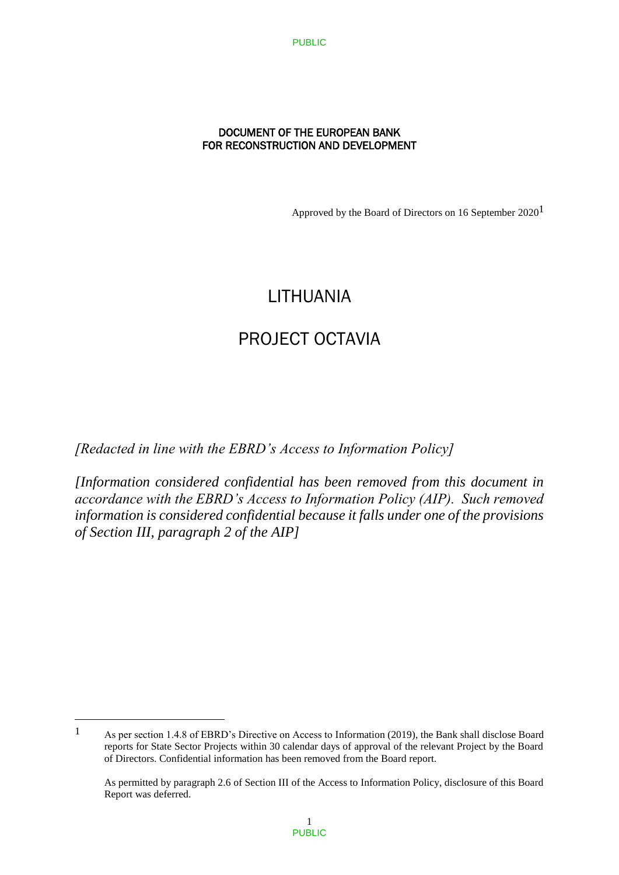## DOCUMENT OF THE EUROPEAN BANK FOR RECONSTRUCTION AND DEVELOPMENT

Approved by the Board of Directors on 16 September  $2020<sup>1</sup>$ 

# LITHUANIA

# PROJECT OCTAVIA

*[Redacted in line with the EBRD's Access to Information Policy]* 

*[Information considered confidential has been removed from this document in accordance with the EBRD's Access to Information Policy (AIP). Such removed information is considered confidential because it falls under one of the provisions of Section III, paragraph 2 of the AIP]*

<sup>1</sup> As per section 1.4.8 of EBRD's Directive on Access to Information (2019), the Bank shall disclose Board reports for State Sector Projects within 30 calendar days of approval of the relevant Project by the Board of Directors. Confidential information has been removed from the Board report.

As permitted by paragraph 2.6 of Section III of the Access to Information Policy, disclosure of this Board Report was deferred.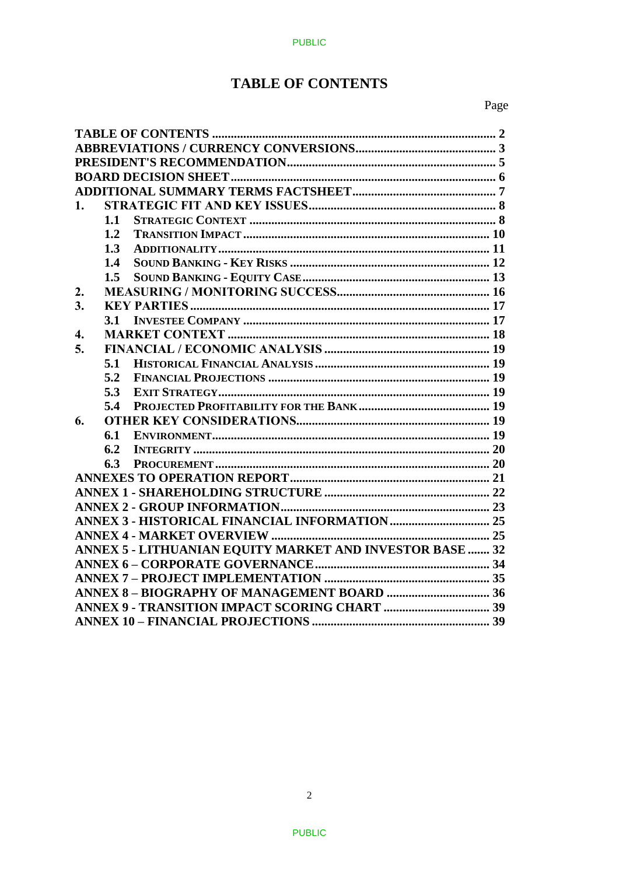# **TABLE OF CONTENTS**

| 1. |     |                                                                 |  |  |
|----|-----|-----------------------------------------------------------------|--|--|
|    | 1.1 |                                                                 |  |  |
|    | 1.2 |                                                                 |  |  |
|    | 1.3 |                                                                 |  |  |
|    | 1.4 |                                                                 |  |  |
|    | 1.5 |                                                                 |  |  |
| 2. |     |                                                                 |  |  |
| 3. |     |                                                                 |  |  |
|    | 3.1 |                                                                 |  |  |
| 4. |     |                                                                 |  |  |
| 5. |     |                                                                 |  |  |
|    | 5.1 |                                                                 |  |  |
|    | 5.2 |                                                                 |  |  |
|    | 5.3 |                                                                 |  |  |
|    | 5.4 |                                                                 |  |  |
| 6. |     |                                                                 |  |  |
|    | 6.1 |                                                                 |  |  |
|    | 6.2 |                                                                 |  |  |
|    | 6.3 |                                                                 |  |  |
|    |     |                                                                 |  |  |
|    |     |                                                                 |  |  |
|    |     |                                                                 |  |  |
|    |     |                                                                 |  |  |
|    |     |                                                                 |  |  |
|    |     | <b>ANNEX 5 - LITHUANIAN EQUITY MARKET AND INVESTOR BASE  32</b> |  |  |
|    |     |                                                                 |  |  |
|    |     |                                                                 |  |  |
|    |     |                                                                 |  |  |
|    |     |                                                                 |  |  |
|    |     |                                                                 |  |  |
|    |     |                                                                 |  |  |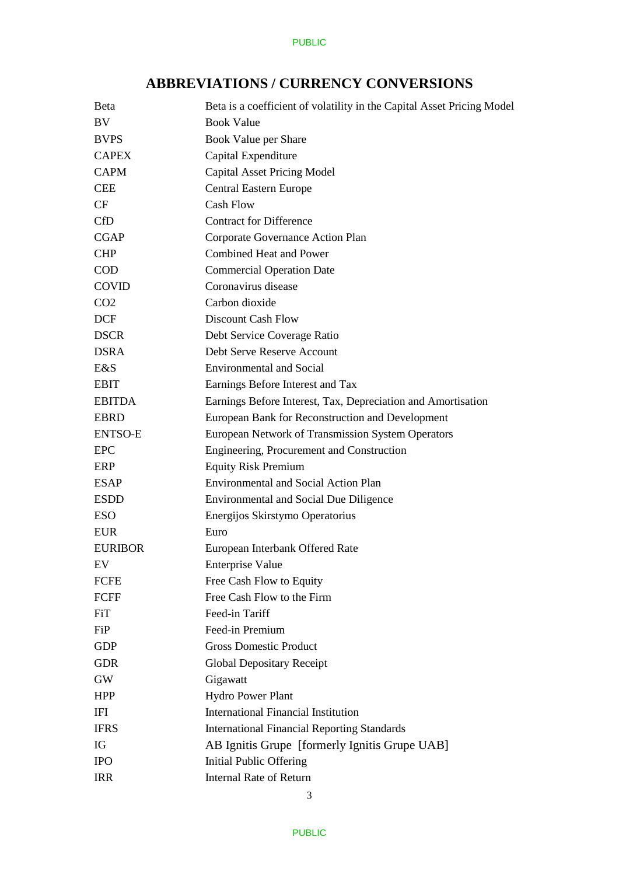

# **ABBREVIATIONS / CURRENCY CONVERSIONS**

| <b>Beta</b>     | Beta is a coefficient of volatility in the Capital Asset Pricing Model |
|-----------------|------------------------------------------------------------------------|
| BV              | <b>Book Value</b>                                                      |
| <b>BVPS</b>     | Book Value per Share                                                   |
| <b>CAPEX</b>    | Capital Expenditure                                                    |
| <b>CAPM</b>     | <b>Capital Asset Pricing Model</b>                                     |
| <b>CEE</b>      | Central Eastern Europe                                                 |
| CF              | <b>Cash Flow</b>                                                       |
| <b>CfD</b>      | <b>Contract for Difference</b>                                         |
| <b>CGAP</b>     | Corporate Governance Action Plan                                       |
| <b>CHP</b>      | <b>Combined Heat and Power</b>                                         |
| <b>COD</b>      | <b>Commercial Operation Date</b>                                       |
| <b>COVID</b>    | Coronavirus disease                                                    |
| CO <sub>2</sub> | Carbon dioxide                                                         |
| <b>DCF</b>      | <b>Discount Cash Flow</b>                                              |
| <b>DSCR</b>     | Debt Service Coverage Ratio                                            |
| <b>DSRA</b>     | Debt Serve Reserve Account                                             |
| E&S             | <b>Environmental and Social</b>                                        |
| <b>EBIT</b>     | Earnings Before Interest and Tax                                       |
| <b>EBITDA</b>   | Earnings Before Interest, Tax, Depreciation and Amortisation           |
| <b>EBRD</b>     | European Bank for Reconstruction and Development                       |
| <b>ENTSO-E</b>  | European Network of Transmission System Operators                      |
| <b>EPC</b>      | Engineering, Procurement and Construction                              |
| ERP             | <b>Equity Risk Premium</b>                                             |
| <b>ESAP</b>     | <b>Environmental and Social Action Plan</b>                            |
| <b>ESDD</b>     | <b>Environmental and Social Due Diligence</b>                          |
| <b>ESO</b>      | Energijos Skirstymo Operatorius                                        |
| <b>EUR</b>      | Euro                                                                   |
| <b>EURIBOR</b>  | European Interbank Offered Rate                                        |
| EV              | <b>Enterprise Value</b>                                                |
| <b>FCFE</b>     | Free Cash Flow to Equity                                               |
| FCFF            | Free Cash Flow to the Firm                                             |
| FiT             | Feed-in Tariff                                                         |
| FiP             | Feed-in Premium                                                        |
| <b>GDP</b>      | <b>Gross Domestic Product</b>                                          |
| <b>GDR</b>      | <b>Global Depositary Receipt</b>                                       |
| GW              | Gigawatt                                                               |
| <b>HPP</b>      | Hydro Power Plant                                                      |
| IFI             | <b>International Financial Institution</b>                             |
| <b>IFRS</b>     | <b>International Financial Reporting Standards</b>                     |
| IG              | AB Ignitis Grupe [formerly Ignitis Grupe UAB]                          |
| <b>IPO</b>      | Initial Public Offering                                                |
| <b>IRR</b>      | <b>Internal Rate of Return</b>                                         |
|                 |                                                                        |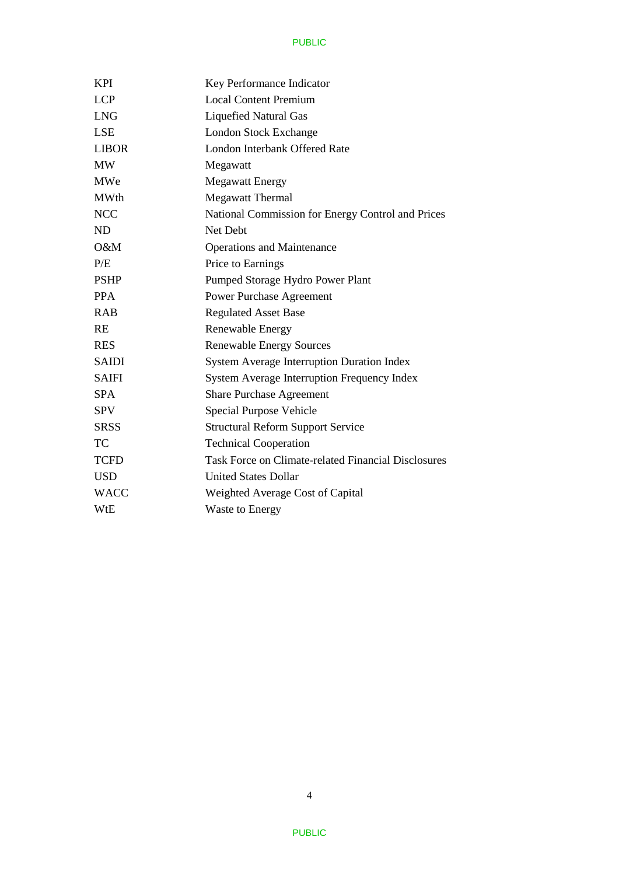| <b>KPI</b>   | Key Performance Indicator                                  |
|--------------|------------------------------------------------------------|
| <b>LCP</b>   | <b>Local Content Premium</b>                               |
| <b>LNG</b>   | <b>Liquefied Natural Gas</b>                               |
| <b>LSE</b>   | <b>London Stock Exchange</b>                               |
| <b>LIBOR</b> | London Interbank Offered Rate                              |
| <b>MW</b>    | Megawatt                                                   |
| MWe          | <b>Megawatt Energy</b>                                     |
| <b>MWth</b>  | <b>Megawatt Thermal</b>                                    |
| <b>NCC</b>   | National Commission for Energy Control and Prices          |
| <b>ND</b>    | Net Debt                                                   |
| $O\&M$       | <b>Operations and Maintenance</b>                          |
| P/E          | Price to Earnings                                          |
| <b>PSHP</b>  | Pumped Storage Hydro Power Plant                           |
| <b>PPA</b>   | <b>Power Purchase Agreement</b>                            |
| <b>RAB</b>   | <b>Regulated Asset Base</b>                                |
| <b>RE</b>    | Renewable Energy                                           |
| <b>RES</b>   | <b>Renewable Energy Sources</b>                            |
| <b>SAIDI</b> | <b>System Average Interruption Duration Index</b>          |
| <b>SAIFI</b> | <b>System Average Interruption Frequency Index</b>         |
| <b>SPA</b>   | <b>Share Purchase Agreement</b>                            |
| <b>SPV</b>   | Special Purpose Vehicle                                    |
| <b>SRSS</b>  | <b>Structural Reform Support Service</b>                   |
| TC           | <b>Technical Cooperation</b>                               |
| <b>TCFD</b>  | <b>Task Force on Climate-related Financial Disclosures</b> |
| <b>USD</b>   | <b>United States Dollar</b>                                |
| <b>WACC</b>  | Weighted Average Cost of Capital                           |
| WtE          | <b>Waste to Energy</b>                                     |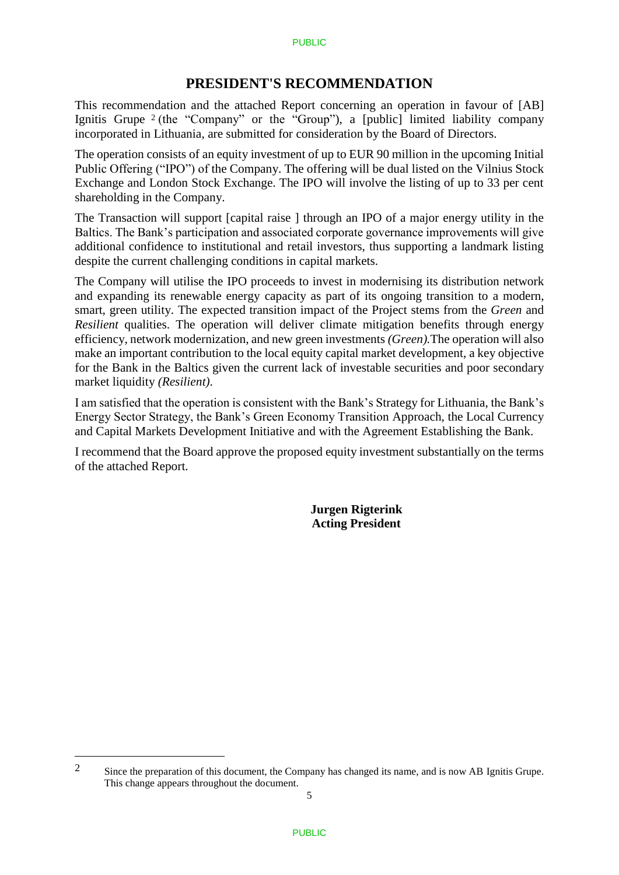# **PRESIDENT'S RECOMMENDATION**

This recommendation and the attached Report concerning an operation in favour of [AB] Ignitis Grupe  $2$  (the "Company" or the "Group"), a [public] limited liability company incorporated in Lithuania, are submitted for consideration by the Board of Directors.

The operation consists of an equity investment of up to EUR 90 million in the upcoming Initial Public Offering ("IPO") of the Company. The offering will be dual listed on the Vilnius Stock Exchange and London Stock Exchange. The IPO will involve the listing of up to 33 per cent shareholding in the Company.

The Transaction will support [capital raise ] through an IPO of a major energy utility in the Baltics. The Bank's participation and associated corporate governance improvements will give additional confidence to institutional and retail investors, thus supporting a landmark listing despite the current challenging conditions in capital markets.

The Company will utilise the IPO proceeds to invest in modernising its distribution network and expanding its renewable energy capacity as part of its ongoing transition to a modern, smart, green utility. The expected transition impact of the Project stems from the *Green* and *Resilient* qualities. The operation will deliver climate mitigation benefits through energy efficiency, network modernization, and new green investments *(Green).*The operation will also make an important contribution to the local equity capital market development, a key objective for the Bank in the Baltics given the current lack of investable securities and poor secondary market liquidity *(Resilient)*.

I am satisfied that the operation is consistent with the Bank's Strategy for Lithuania, the Bank's Energy Sector Strategy, the Bank's Green Economy Transition Approach, the Local Currency and Capital Markets Development Initiative and with the Agreement Establishing the Bank.

I recommend that the Board approve the proposed equity investment substantially on the terms of the attached Report.

> **Jurgen Rigterink Acting President**

<u>.</u>

<sup>&</sup>lt;sup>2</sup> Since the preparation of this document, the Company has changed its name, and is now AB Ignitis Grupe. This change appears throughout the document.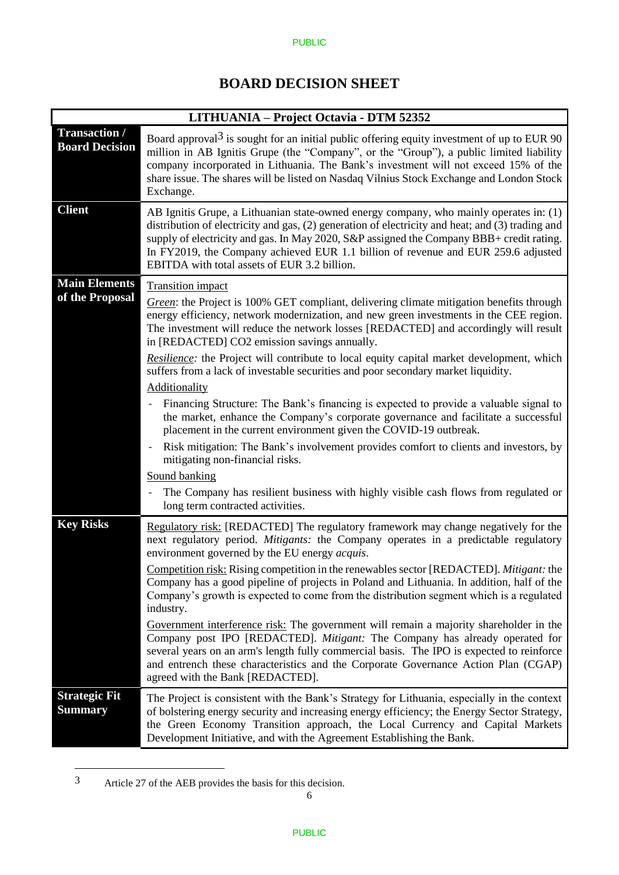#### PUBLIC

# **BOARD DECISION SHEET**

| LITHUANIA – Project Octavia - DTM 52352       |                                                                                                                                                                                                                                                                                                                                                                                                                                                                                                                                                                                                                                                                                                                                                                                                                                                                                                                                                                                                                                                                                                                   |  |  |
|-----------------------------------------------|-------------------------------------------------------------------------------------------------------------------------------------------------------------------------------------------------------------------------------------------------------------------------------------------------------------------------------------------------------------------------------------------------------------------------------------------------------------------------------------------------------------------------------------------------------------------------------------------------------------------------------------------------------------------------------------------------------------------------------------------------------------------------------------------------------------------------------------------------------------------------------------------------------------------------------------------------------------------------------------------------------------------------------------------------------------------------------------------------------------------|--|--|
| <b>Transaction /</b><br><b>Board Decision</b> | Board approval <sup>3</sup> is sought for an initial public offering equity investment of up to EUR 90<br>million in AB Ignitis Grupe (the "Company", or the "Group"), a public limited liability<br>company incorporated in Lithuania. The Bank's investment will not exceed 15% of the<br>share issue. The shares will be listed on Nasdaq Vilnius Stock Exchange and London Stock<br>Exchange.                                                                                                                                                                                                                                                                                                                                                                                                                                                                                                                                                                                                                                                                                                                 |  |  |
| <b>Client</b>                                 | AB Ignitis Grupe, a Lithuanian state-owned energy company, who mainly operates in: (1)<br>distribution of electricity and gas, (2) generation of electricity and heat; and (3) trading and<br>supply of electricity and gas. In May 2020, S&P assigned the Company BBB+ credit rating.<br>In FY2019, the Company achieved EUR 1.1 billion of revenue and EUR 259.6 adjusted<br>EBITDA with total assets of EUR 3.2 billion.                                                                                                                                                                                                                                                                                                                                                                                                                                                                                                                                                                                                                                                                                       |  |  |
| <b>Main Elements</b><br>of the Proposal       | <b>Transition</b> impact<br>Green: the Project is 100% GET compliant, delivering climate mitigation benefits through<br>energy efficiency, network modernization, and new green investments in the CEE region.<br>The investment will reduce the network losses [REDACTED] and accordingly will result<br>in [REDACTED] CO2 emission savings annually.<br>Resilience: the Project will contribute to local equity capital market development, which<br>suffers from a lack of investable securities and poor secondary market liquidity.<br>Additionality<br>Financing Structure: The Bank's financing is expected to provide a valuable signal to<br>$\overline{\phantom{0}}$<br>the market, enhance the Company's corporate governance and facilitate a successful<br>placement in the current environment given the COVID-19 outbreak.<br>Risk mitigation: The Bank's involvement provides comfort to clients and investors, by<br>mitigating non-financial risks.<br>Sound banking<br>The Company has resilient business with highly visible cash flows from regulated or<br>long term contracted activities. |  |  |
| <b>Key Risks</b>                              | Regulatory risk: [REDACTED] The regulatory framework may change negatively for the<br>next regulatory period. <i>Mitigants:</i> the Company operates in a predictable regulatory<br>environment governed by the EU energy <i>acquis</i> .<br>Competition risk: Rising competition in the renewables sector [REDACTED]. Mitigant: the<br>Company has a good pipeline of projects in Poland and Lithuania. In addition, half of the<br>Company's growth is expected to come from the distribution segment which is a regulated<br>industry.<br>Government interference risk: The government will remain a majority shareholder in the<br>Company post IPO [REDACTED]. Mitigant: The Company has already operated for<br>several years on an arm's length fully commercial basis. The IPO is expected to reinforce<br>and entrench these characteristics and the Corporate Governance Action Plan (CGAP)<br>agreed with the Bank [REDACTED].                                                                                                                                                                         |  |  |
| <b>Strategic Fit</b><br><b>Summary</b>        | The Project is consistent with the Bank's Strategy for Lithuania, especially in the context<br>of bolstering energy security and increasing energy efficiency; the Energy Sector Strategy,<br>the Green Economy Transition approach, the Local Currency and Capital Markets<br>Development Initiative, and with the Agreement Establishing the Bank.                                                                                                                                                                                                                                                                                                                                                                                                                                                                                                                                                                                                                                                                                                                                                              |  |  |

<sup>3</sup> Article 27 of the AEB provides the basis for this decision.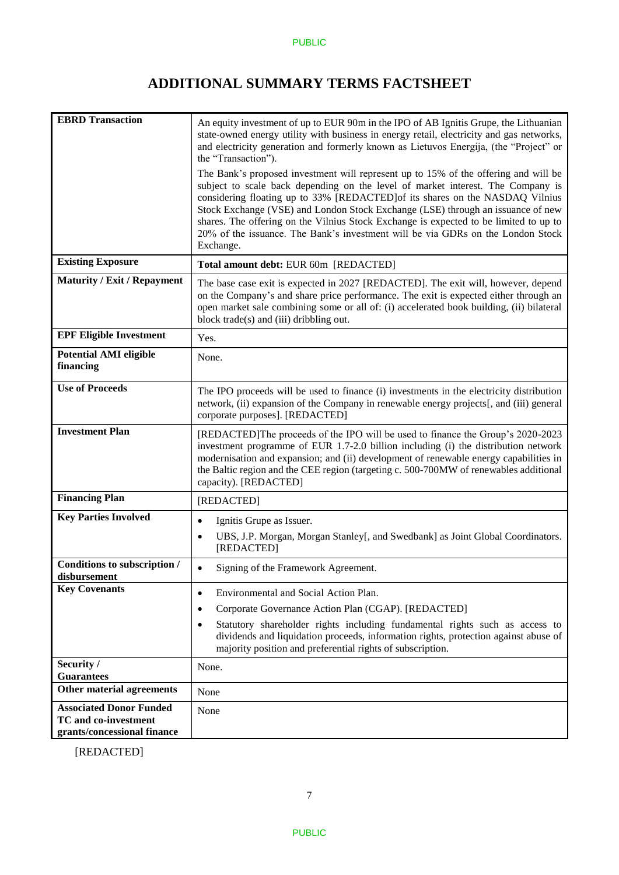# **ADDITIONAL SUMMARY TERMS FACTSHEET**

| <b>EBRD</b> Transaction                                    | An equity investment of up to EUR 90m in the IPO of AB Ignitis Grupe, the Lithuanian<br>state-owned energy utility with business in energy retail, electricity and gas networks,<br>and electricity generation and formerly known as Lietuvos Energija, (the "Project" or<br>the "Transaction").<br>The Bank's proposed investment will represent up to 15% of the offering and will be<br>subject to scale back depending on the level of market interest. The Company is<br>considering floating up to 33% [REDACTED] of its shares on the NASDAQ Vilnius<br>Stock Exchange (VSE) and London Stock Exchange (LSE) through an issuance of new<br>shares. The offering on the Vilnius Stock Exchange is expected to be limited to up to<br>20% of the issuance. The Bank's investment will be via GDRs on the London Stock<br>Exchange. |
|------------------------------------------------------------|-----------------------------------------------------------------------------------------------------------------------------------------------------------------------------------------------------------------------------------------------------------------------------------------------------------------------------------------------------------------------------------------------------------------------------------------------------------------------------------------------------------------------------------------------------------------------------------------------------------------------------------------------------------------------------------------------------------------------------------------------------------------------------------------------------------------------------------------|
| <b>Existing Exposure</b>                                   | Total amount debt: EUR 60m [REDACTED]                                                                                                                                                                                                                                                                                                                                                                                                                                                                                                                                                                                                                                                                                                                                                                                                   |
| <b>Maturity / Exit / Repayment</b>                         | The base case exit is expected in 2027 [REDACTED]. The exit will, however, depend<br>on the Company's and share price performance. The exit is expected either through an<br>open market sale combining some or all of: (i) accelerated book building, (ii) bilateral<br>block trade(s) and (iii) dribbling out.                                                                                                                                                                                                                                                                                                                                                                                                                                                                                                                        |
| <b>EPF Eligible Investment</b>                             | Yes.                                                                                                                                                                                                                                                                                                                                                                                                                                                                                                                                                                                                                                                                                                                                                                                                                                    |
| <b>Potential AMI eligible</b><br>financing                 | None.                                                                                                                                                                                                                                                                                                                                                                                                                                                                                                                                                                                                                                                                                                                                                                                                                                   |
| <b>Use of Proceeds</b>                                     | The IPO proceeds will be used to finance (i) investments in the electricity distribution<br>network, (ii) expansion of the Company in renewable energy projects[, and (iii) general<br>corporate purposes]. [REDACTED]                                                                                                                                                                                                                                                                                                                                                                                                                                                                                                                                                                                                                  |
| <b>Investment Plan</b>                                     | [REDACTED]The proceeds of the IPO will be used to finance the Group's 2020-2023<br>investment programme of EUR 1.7-2.0 billion including (i) the distribution network<br>modernisation and expansion; and (ii) development of renewable energy capabilities in<br>the Baltic region and the CEE region (targeting c. 500-700MW of renewables additional<br>capacity). [REDACTED]                                                                                                                                                                                                                                                                                                                                                                                                                                                        |
| <b>Financing Plan</b>                                      | [REDACTED]                                                                                                                                                                                                                                                                                                                                                                                                                                                                                                                                                                                                                                                                                                                                                                                                                              |
| <b>Key Parties Involved</b>                                | Ignitis Grupe as Issuer.<br>$\bullet$                                                                                                                                                                                                                                                                                                                                                                                                                                                                                                                                                                                                                                                                                                                                                                                                   |
|                                                            | UBS, J.P. Morgan, Morgan Stanley[, and Swedbank] as Joint Global Coordinators.<br>٠<br>[REDACTED]                                                                                                                                                                                                                                                                                                                                                                                                                                                                                                                                                                                                                                                                                                                                       |
| Conditions to subscription /<br>disbursement               | Signing of the Framework Agreement.<br>$\bullet$                                                                                                                                                                                                                                                                                                                                                                                                                                                                                                                                                                                                                                                                                                                                                                                        |
| <b>Key Covenants</b>                                       | Environmental and Social Action Plan.<br>$\bullet$                                                                                                                                                                                                                                                                                                                                                                                                                                                                                                                                                                                                                                                                                                                                                                                      |
|                                                            | Corporate Governance Action Plan (CGAP). [REDACTED]<br>٠                                                                                                                                                                                                                                                                                                                                                                                                                                                                                                                                                                                                                                                                                                                                                                                |
|                                                            | Statutory shareholder rights including fundamental rights such as access to<br>$\bullet$<br>dividends and liquidation proceeds, information rights, protection against abuse of<br>majority position and preferential rights of subscription.                                                                                                                                                                                                                                                                                                                                                                                                                                                                                                                                                                                           |
| Security /                                                 | None.                                                                                                                                                                                                                                                                                                                                                                                                                                                                                                                                                                                                                                                                                                                                                                                                                                   |
| <b>Guarantees</b><br>Other material agreements             | None                                                                                                                                                                                                                                                                                                                                                                                                                                                                                                                                                                                                                                                                                                                                                                                                                                    |
| <b>Associated Donor Funded</b>                             | None                                                                                                                                                                                                                                                                                                                                                                                                                                                                                                                                                                                                                                                                                                                                                                                                                                    |
| <b>TC</b> and co-investment<br>grants/concessional finance |                                                                                                                                                                                                                                                                                                                                                                                                                                                                                                                                                                                                                                                                                                                                                                                                                                         |

[REDACTED]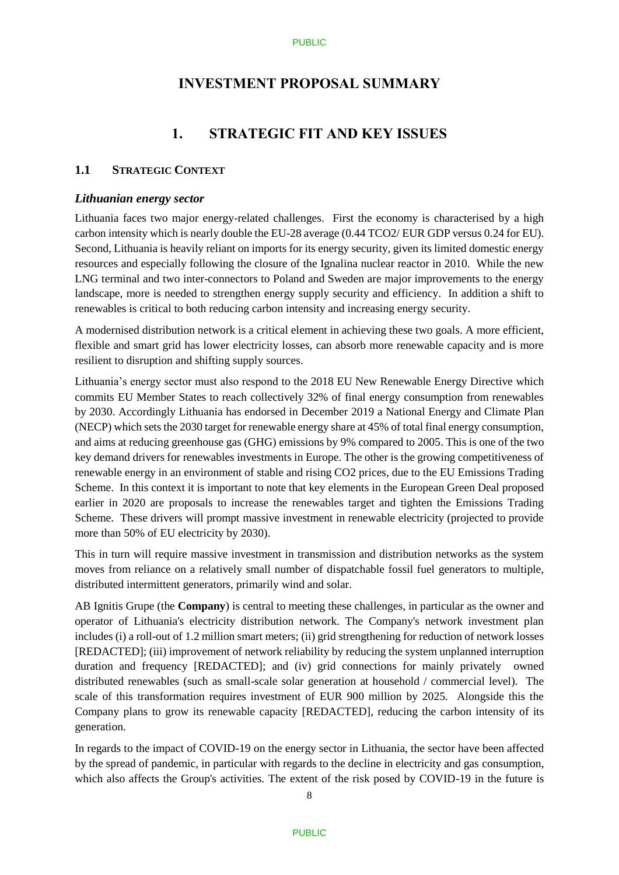# **INVESTMENT PROPOSAL SUMMARY**

# **1. STRATEGIC FIT AND KEY ISSUES**

### **1.1 STRATEGIC CONTEXT**

#### *Lithuanian energy sector*

Lithuania faces two major energy-related challenges. First the economy is characterised by a high carbon intensity which is nearly double the EU-28 average (0.44 TCO2/ EUR GDP versus 0.24 for EU). Second, Lithuania is heavily reliant on imports for its energy security, given its limited domestic energy resources and especially following the closure of the Ignalina nuclear reactor in 2010. While the new LNG terminal and two inter-connectors to Poland and Sweden are major improvements to the energy landscape, more is needed to strengthen energy supply security and efficiency. In addition a shift to renewables is critical to both reducing carbon intensity and increasing energy security.

A modernised distribution network is a critical element in achieving these two goals. A more efficient, flexible and smart grid has lower electricity losses, can absorb more renewable capacity and is more resilient to disruption and shifting supply sources.

Lithuania's energy sector must also respond to the 2018 EU New Renewable Energy Directive which commits EU Member States to reach collectively 32% of final energy consumption from renewables by 2030. Accordingly Lithuania has endorsed in December 2019 a National Energy and Climate Plan (NECP) which sets the 2030 target for renewable energy share at 45% of total final energy consumption, and aims at reducing greenhouse gas (GHG) emissions by 9% compared to 2005. This is one of the two key demand drivers for renewables investments in Europe. The other is the growing competitiveness of renewable energy in an environment of stable and rising CO2 prices, due to the EU Emissions Trading Scheme. In this context it is important to note that key elements in the European Green Deal proposed earlier in 2020 are proposals to increase the renewables target and tighten the Emissions Trading Scheme. These drivers will prompt massive investment in renewable electricity (projected to provide more than 50% of EU electricity by 2030).

This in turn will require massive investment in transmission and distribution networks as the system moves from reliance on a relatively small number of dispatchable fossil fuel generators to multiple, distributed intermittent generators, primarily wind and solar.

AB Ignitis Grupe (the **Company**) is central to meeting these challenges, in particular as the owner and operator of Lithuania's electricity distribution network. The Company's network investment plan includes (i) a roll-out of 1.2 million smart meters; (ii) grid strengthening for reduction of network losses [REDACTED]; (iii) improvement of network reliability by reducing the system unplanned interruption duration and frequency [REDACTED]; and (iv) grid connections for mainly privately owned distributed renewables (such as small-scale solar generation at household / commercial level). The scale of this transformation requires investment of EUR 900 million by 2025. Alongside this the Company plans to grow its renewable capacity [REDACTED], reducing the carbon intensity of its generation.

In regards to the impact of COVID-19 on the energy sector in Lithuania, the sector have been affected by the spread of pandemic, in particular with regards to the decline in electricity and gas consumption, which also affects the Group's activities. The extent of the risk posed by COVID-19 in the future is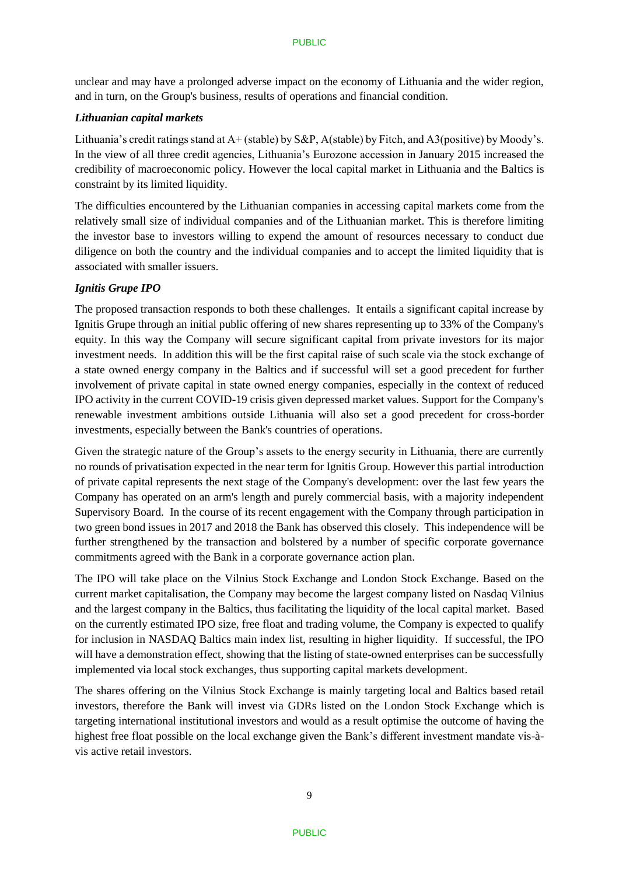unclear and may have a prolonged adverse impact on the economy of Lithuania and the wider region, and in turn, on the Group's business, results of operations and financial condition.

### *Lithuanian capital markets*

Lithuania's credit ratings stand at A+ (stable) by S&P, A(stable) by Fitch, and A3(positive) by Moody's. In the view of all three credit agencies, Lithuania's Eurozone accession in January 2015 increased the credibility of macroeconomic policy. However the local capital market in Lithuania and the Baltics is constraint by its limited liquidity.

The difficulties encountered by the Lithuanian companies in accessing capital markets come from the relatively small size of individual companies and of the Lithuanian market. This is therefore limiting the investor base to investors willing to expend the amount of resources necessary to conduct due diligence on both the country and the individual companies and to accept the limited liquidity that is associated with smaller issuers.

### *Ignitis Grupe IPO*

The proposed transaction responds to both these challenges. It entails a significant capital increase by Ignitis Grupe through an initial public offering of new shares representing up to 33% of the Company's equity. In this way the Company will secure significant capital from private investors for its major investment needs. In addition this will be the first capital raise of such scale via the stock exchange of a state owned energy company in the Baltics and if successful will set a good precedent for further involvement of private capital in state owned energy companies, especially in the context of reduced IPO activity in the current COVID-19 crisis given depressed market values. Support for the Company's renewable investment ambitions outside Lithuania will also set a good precedent for cross-border investments, especially between the Bank's countries of operations.

Given the strategic nature of the Group's assets to the energy security in Lithuania, there are currently no rounds of privatisation expected in the near term for Ignitis Group. However this partial introduction of private capital represents the next stage of the Company's development: over the last few years the Company has operated on an arm's length and purely commercial basis, with a majority independent Supervisory Board. In the course of its recent engagement with the Company through participation in two green bond issues in 2017 and 2018 the Bank has observed this closely. This independence will be further strengthened by the transaction and bolstered by a number of specific corporate governance commitments agreed with the Bank in a corporate governance action plan.

The IPO will take place on the Vilnius Stock Exchange and London Stock Exchange. Based on the current market capitalisation, the Company may become the largest company listed on Nasdaq Vilnius and the largest company in the Baltics, thus facilitating the liquidity of the local capital market. Based on the currently estimated IPO size, free float and trading volume, the Company is expected to qualify for inclusion in NASDAQ Baltics main index list, resulting in higher liquidity. If successful, the IPO will have a demonstration effect, showing that the listing of state-owned enterprises can be successfully implemented via local stock exchanges, thus supporting capital markets development.

The shares offering on the Vilnius Stock Exchange is mainly targeting local and Baltics based retail investors, therefore the Bank will invest via GDRs listed on the London Stock Exchange which is targeting international institutional investors and would as a result optimise the outcome of having the highest free float possible on the local exchange given the Bank's different investment mandate vis-àvis active retail investors.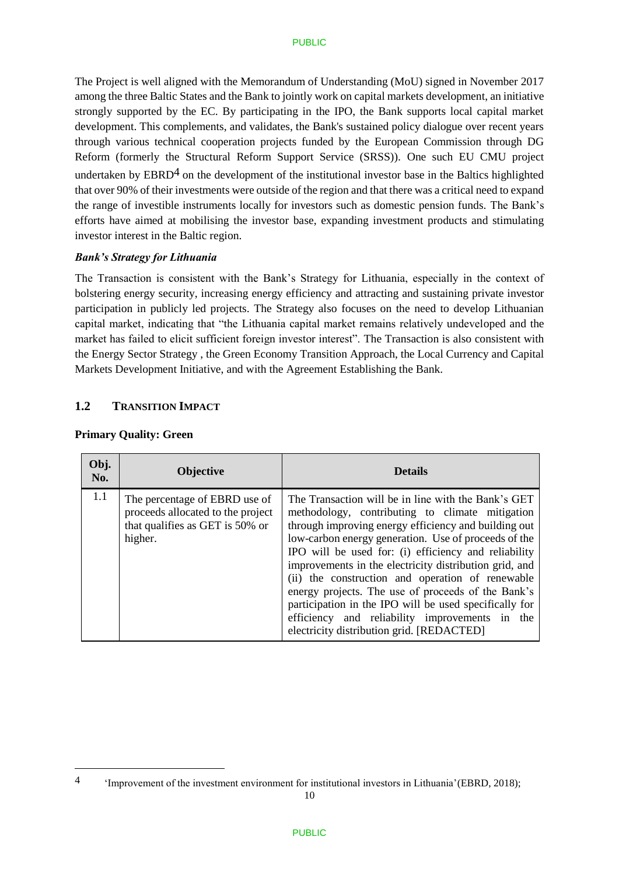The Project is well aligned with the Memorandum of Understanding (MoU) signed in November 2017 among the three Baltic States and the Bank to jointly work on capital markets development, an initiative strongly supported by the EC. By participating in the IPO, the Bank supports local capital market development. This complements, and validates, the Bank's sustained policy dialogue over recent years through various technical cooperation projects funded by the European Commission through DG Reform (formerly the Structural Reform Support Service (SRSS)). One such EU CMU project undertaken by  $EBRD<sup>4</sup>$  on the development of the institutional investor base in the Baltics highlighted that over 90% of their investments were outside of the region and that there was a critical need to expand the range of investible instruments locally for investors such as domestic pension funds. The Bank's efforts have aimed at mobilising the investor base, expanding investment products and stimulating investor interest in the Baltic region.

### *Bank's Strategy for Lithuania*

The Transaction is consistent with the Bank's Strategy for Lithuania, especially in the context of bolstering energy security, increasing energy efficiency and attracting and sustaining private investor participation in publicly led projects. The Strategy also focuses on the need to develop Lithuanian capital market, indicating that "the Lithuania capital market remains relatively undeveloped and the market has failed to elicit sufficient foreign investor interest". The Transaction is also consistent with the Energy Sector Strategy , the Green Economy Transition Approach, the Local Currency and Capital Markets Development Initiative, and with the Agreement Establishing the Bank.

## **1.2 TRANSITION IMPACT**

| Obj.<br>No. | <b>Objective</b>                                                                                                 | <b>Details</b>                                                                                                                                                                                                                                                                                                                                                                                                                                                                                                                                                                                              |
|-------------|------------------------------------------------------------------------------------------------------------------|-------------------------------------------------------------------------------------------------------------------------------------------------------------------------------------------------------------------------------------------------------------------------------------------------------------------------------------------------------------------------------------------------------------------------------------------------------------------------------------------------------------------------------------------------------------------------------------------------------------|
| 1.1         | The percentage of EBRD use of<br>proceeds allocated to the project<br>that qualifies as GET is 50% or<br>higher. | The Transaction will be in line with the Bank's GET<br>methodology, contributing to climate mitigation<br>through improving energy efficiency and building out<br>low-carbon energy generation. Use of proceeds of the<br>IPO will be used for: (i) efficiency and reliability<br>improvements in the electricity distribution grid, and<br>(ii) the construction and operation of renewable<br>energy projects. The use of proceeds of the Bank's<br>participation in the IPO will be used specifically for<br>efficiency and reliability improvements in the<br>electricity distribution grid. [REDACTED] |

### **Primary Quality: Green**

<sup>4</sup> 'Improvement of the investment environment for institutional investors in Lithuania'(EBRD, 2018);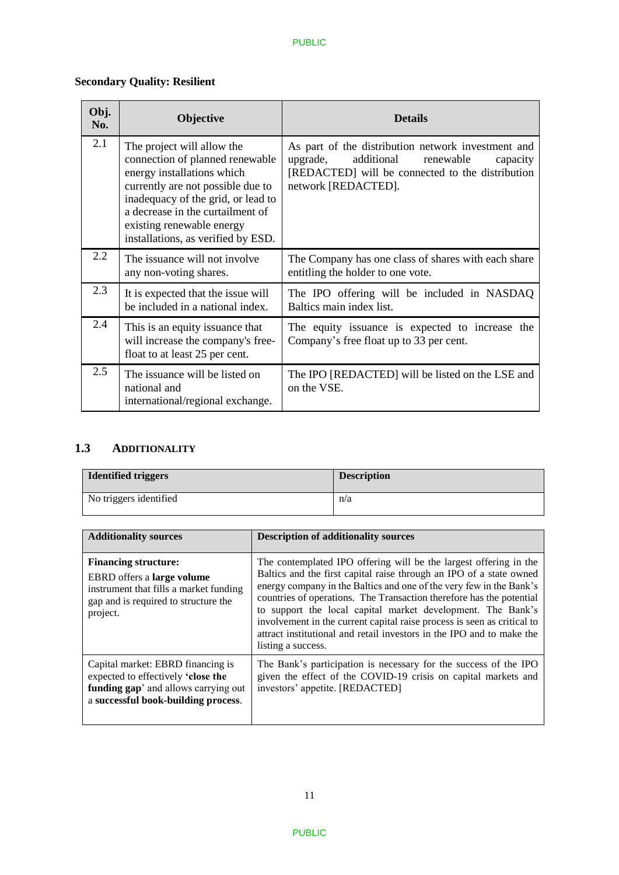# **Secondary Quality: Resilient**

| Obj.<br>No. | Objective                                                                                                                                                                                                                                                                     | <b>Details</b>                                                                                                                                                                   |
|-------------|-------------------------------------------------------------------------------------------------------------------------------------------------------------------------------------------------------------------------------------------------------------------------------|----------------------------------------------------------------------------------------------------------------------------------------------------------------------------------|
| 2.1         | The project will allow the<br>connection of planned renewable<br>energy installations which<br>currently are not possible due to<br>inadequacy of the grid, or lead to<br>a decrease in the curtailment of<br>existing renewable energy<br>installations, as verified by ESD. | As part of the distribution network investment and<br>additional<br>upgrade,<br>renewable<br>capacity<br>[REDACTED] will be connected to the distribution<br>network [REDACTED]. |
| 2.2         | The issuance will not involve<br>any non-voting shares.                                                                                                                                                                                                                       | The Company has one class of shares with each share<br>entitling the holder to one vote.                                                                                         |
| 2.3         | It is expected that the issue will<br>be included in a national index.                                                                                                                                                                                                        | The IPO offering will be included in NASDAQ<br>Baltics main index list.                                                                                                          |
| 2.4         | This is an equity is suance that<br>will increase the company's free-<br>float to at least 25 per cent.                                                                                                                                                                       | The equity issuance is expected to increase the<br>Company's free float up to 33 per cent.                                                                                       |
| 2.5         | The issuance will be listed on<br>national and<br>international/regional exchange.                                                                                                                                                                                            | The IPO [REDACTED] will be listed on the LSE and<br>on the VSE.                                                                                                                  |

# **1.3 ADDITIONALITY**

| <b>Identified triggers</b> | <b>Description</b> |
|----------------------------|--------------------|
| No triggers identified     | n/a                |

| <b>Additionality sources</b>                                                                                                                                   | <b>Description of additionality sources</b>                                                                                                                                                                                                                                                                                                                                                                                                                                                                                      |
|----------------------------------------------------------------------------------------------------------------------------------------------------------------|----------------------------------------------------------------------------------------------------------------------------------------------------------------------------------------------------------------------------------------------------------------------------------------------------------------------------------------------------------------------------------------------------------------------------------------------------------------------------------------------------------------------------------|
| <b>Financing structure:</b><br>EBRD offers a <b>large volume</b><br>instrument that fills a market funding<br>gap and is required to structure the<br>project. | The contemplated IPO offering will be the largest offering in the<br>Baltics and the first capital raise through an IPO of a state owned<br>energy company in the Baltics and one of the very few in the Bank's<br>countries of operations. The Transaction therefore has the potential<br>to support the local capital market development. The Bank's<br>involvement in the current capital raise process is seen as critical to<br>attract institutional and retail investors in the IPO and to make the<br>listing a success. |
| Capital market: EBRD financing is<br>expected to effectively 'close the<br>funding gap' and allows carrying out<br>a successful book-building process.         | The Bank's participation is necessary for the success of the IPO<br>given the effect of the COVID-19 crisis on capital markets and<br>investors' appetite. [REDACTED]                                                                                                                                                                                                                                                                                                                                                            |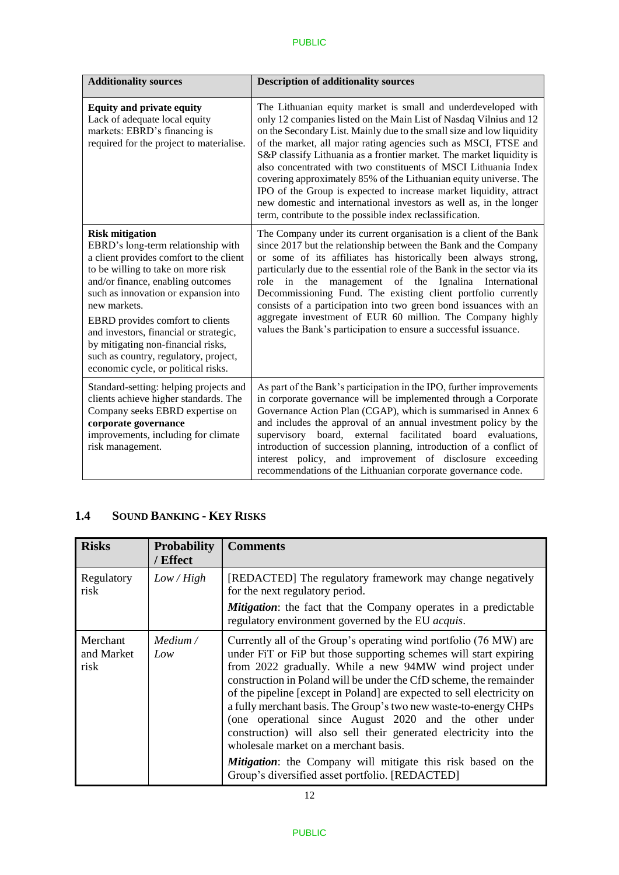| <b>Additionality sources</b>                                                                                                                                                                                                                                                                                                                                                                                                                   | <b>Description of additionality sources</b>                                                                                                                                                                                                                                                                                                                                                                                                                                                                                                                                                                                                                                                             |
|------------------------------------------------------------------------------------------------------------------------------------------------------------------------------------------------------------------------------------------------------------------------------------------------------------------------------------------------------------------------------------------------------------------------------------------------|---------------------------------------------------------------------------------------------------------------------------------------------------------------------------------------------------------------------------------------------------------------------------------------------------------------------------------------------------------------------------------------------------------------------------------------------------------------------------------------------------------------------------------------------------------------------------------------------------------------------------------------------------------------------------------------------------------|
| <b>Equity and private equity</b><br>Lack of adequate local equity<br>markets: EBRD's financing is<br>required for the project to materialise.                                                                                                                                                                                                                                                                                                  | The Lithuanian equity market is small and underdeveloped with<br>only 12 companies listed on the Main List of Nasdaq Vilnius and 12<br>on the Secondary List. Mainly due to the small size and low liquidity<br>of the market, all major rating agencies such as MSCI, FTSE and<br>S&P classify Lithuania as a frontier market. The market liquidity is<br>also concentrated with two constituents of MSCI Lithuania Index<br>covering approximately 85% of the Lithuanian equity universe. The<br>IPO of the Group is expected to increase market liquidity, attract<br>new domestic and international investors as well as, in the longer<br>term, contribute to the possible index reclassification. |
| <b>Risk mitigation</b><br>EBRD's long-term relationship with<br>a client provides comfort to the client<br>to be willing to take on more risk<br>and/or finance, enabling outcomes<br>such as innovation or expansion into<br>new markets.<br>EBRD provides comfort to clients<br>and investors, financial or strategic,<br>by mitigating non-financial risks,<br>such as country, regulatory, project,<br>economic cycle, or political risks. | The Company under its current organisation is a client of the Bank<br>since 2017 but the relationship between the Bank and the Company<br>or some of its affiliates has historically been always strong,<br>particularly due to the essential role of the Bank in the sector via its<br>management of the Ignalina International<br>in the<br>role<br>Decommissioning Fund. The existing client portfolio currently<br>consists of a participation into two green bond issuances with an<br>aggregate investment of EUR 60 million. The Company highly<br>values the Bank's participation to ensure a successful issuance.                                                                              |
| Standard-setting: helping projects and<br>clients achieve higher standards. The<br>Company seeks EBRD expertise on<br>corporate governance<br>improvements, including for climate<br>risk management.                                                                                                                                                                                                                                          | As part of the Bank's participation in the IPO, further improvements<br>in corporate governance will be implemented through a Corporate<br>Governance Action Plan (CGAP), which is summarised in Annex 6<br>and includes the approval of an annual investment policy by the<br>board, external<br>facilitated<br>board evaluations,<br>supervisory<br>introduction of succession planning, introduction of a conflict of<br>interest policy, and improvement of disclosure exceeding<br>recommendations of the Lithuanian corporate governance code.                                                                                                                                                    |

# **1.4 SOUND BANKING - KEY RISKS**

| <b>Risks</b>                   | <b>Probability</b><br>/ Effect | <b>Comments</b>                                                                                                                                                                                                                                                                                                                                                                                                                                                                                                                                                                                                                                                                                                          |
|--------------------------------|--------------------------------|--------------------------------------------------------------------------------------------------------------------------------------------------------------------------------------------------------------------------------------------------------------------------------------------------------------------------------------------------------------------------------------------------------------------------------------------------------------------------------------------------------------------------------------------------------------------------------------------------------------------------------------------------------------------------------------------------------------------------|
| Regulatory<br>risk             | Low/High                       | [REDACTED] The regulatory framework may change negatively<br>for the next regulatory period.<br><b>Mitigation:</b> the fact that the Company operates in a predictable<br>regulatory environment governed by the EU <i>acquis</i> .                                                                                                                                                                                                                                                                                                                                                                                                                                                                                      |
| Merchant<br>and Market<br>risk | Medium /<br>Low                | Currently all of the Group's operating wind portfolio (76 MW) are<br>under FiT or FiP but those supporting schemes will start expiring<br>from 2022 gradually. While a new 94MW wind project under<br>construction in Poland will be under the CfD scheme, the remainder<br>of the pipeline [except in Poland] are expected to sell electricity on<br>a fully merchant basis. The Group's two new waste-to-energy CHPs<br>(one operational since August 2020 and the other under<br>construction) will also sell their generated electricity into the<br>wholesale market on a merchant basis.<br><b>Mitigation:</b> the Company will mitigate this risk based on the<br>Group's diversified asset portfolio. [REDACTED] |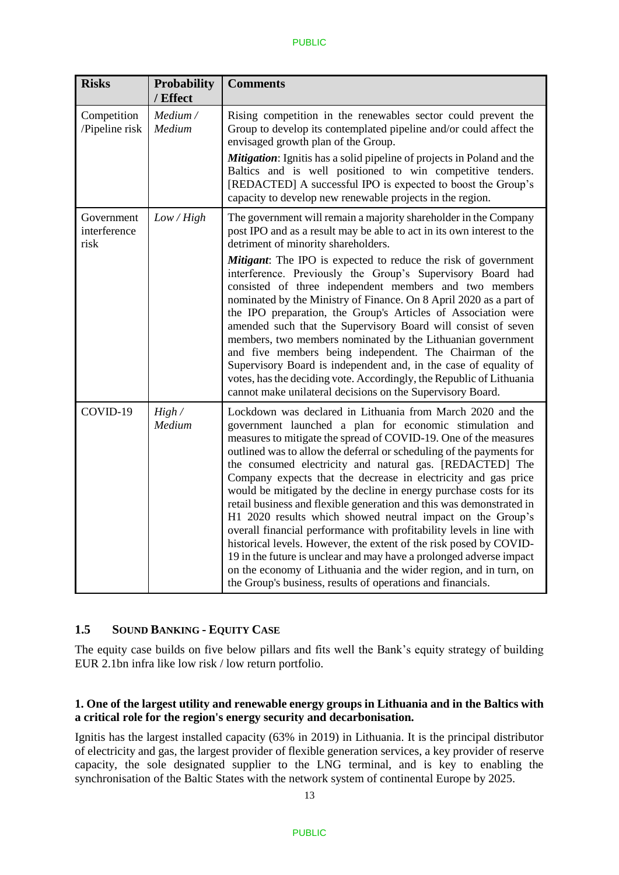| <b>Risks</b>                       | <b>Probability</b><br>/ Effect | <b>Comments</b>                                                                                                                                                                                                                                                                                                                                                                                                                                                                                                                                                                                                                                                                                                                                                                                                                                                                                                                                                      |
|------------------------------------|--------------------------------|----------------------------------------------------------------------------------------------------------------------------------------------------------------------------------------------------------------------------------------------------------------------------------------------------------------------------------------------------------------------------------------------------------------------------------------------------------------------------------------------------------------------------------------------------------------------------------------------------------------------------------------------------------------------------------------------------------------------------------------------------------------------------------------------------------------------------------------------------------------------------------------------------------------------------------------------------------------------|
| Competition<br>/Pipeline risk      | Medium /<br>Medium             | Rising competition in the renewables sector could prevent the<br>Group to develop its contemplated pipeline and/or could affect the<br>envisaged growth plan of the Group.<br>Mitigation: Ignitis has a solid pipeline of projects in Poland and the<br>Baltics and is well positioned to win competitive tenders.<br>[REDACTED] A successful IPO is expected to boost the Group's<br>capacity to develop new renewable projects in the region.                                                                                                                                                                                                                                                                                                                                                                                                                                                                                                                      |
| Government<br>interference<br>risk | Low / High                     | The government will remain a majority shareholder in the Company<br>post IPO and as a result may be able to act in its own interest to the<br>detriment of minority shareholders.<br><b>Mitigant:</b> The IPO is expected to reduce the risk of government<br>interference. Previously the Group's Supervisory Board had<br>consisted of three independent members and two members<br>nominated by the Ministry of Finance. On 8 April 2020 as a part of<br>the IPO preparation, the Group's Articles of Association were<br>amended such that the Supervisory Board will consist of seven<br>members, two members nominated by the Lithuanian government<br>and five members being independent. The Chairman of the<br>Supervisory Board is independent and, in the case of equality of<br>votes, has the deciding vote. Accordingly, the Republic of Lithuania<br>cannot make unilateral decisions on the Supervisory Board.                                       |
| COVID-19                           | High/<br>Medium                | Lockdown was declared in Lithuania from March 2020 and the<br>government launched a plan for economic stimulation and<br>measures to mitigate the spread of COVID-19. One of the measures<br>outlined was to allow the deferral or scheduling of the payments for<br>the consumed electricity and natural gas. [REDACTED] The<br>Company expects that the decrease in electricity and gas price<br>would be mitigated by the decline in energy purchase costs for its<br>retail business and flexible generation and this was demonstrated in<br>H1 2020 results which showed neutral impact on the Group's<br>overall financial performance with profitability levels in line with<br>historical levels. However, the extent of the risk posed by COVID-<br>19 in the future is unclear and may have a prolonged adverse impact<br>on the economy of Lithuania and the wider region, and in turn, on<br>the Group's business, results of operations and financials. |

# **1.5 SOUND BANKING - EQUITY CASE**

The equity case builds on five below pillars and fits well the Bank's equity strategy of building EUR 2.1bn infra like low risk / low return portfolio.

## **1. One of the largest utility and renewable energy groups in Lithuania and in the Baltics with a critical role for the region's energy security and decarbonisation.**

Ignitis has the largest installed capacity (63% in 2019) in Lithuania. It is the principal distributor of electricity and gas, the largest provider of flexible generation services, a key provider of reserve capacity, the sole designated supplier to the LNG terminal, and is key to enabling the synchronisation of the Baltic States with the network system of continental Europe by 2025.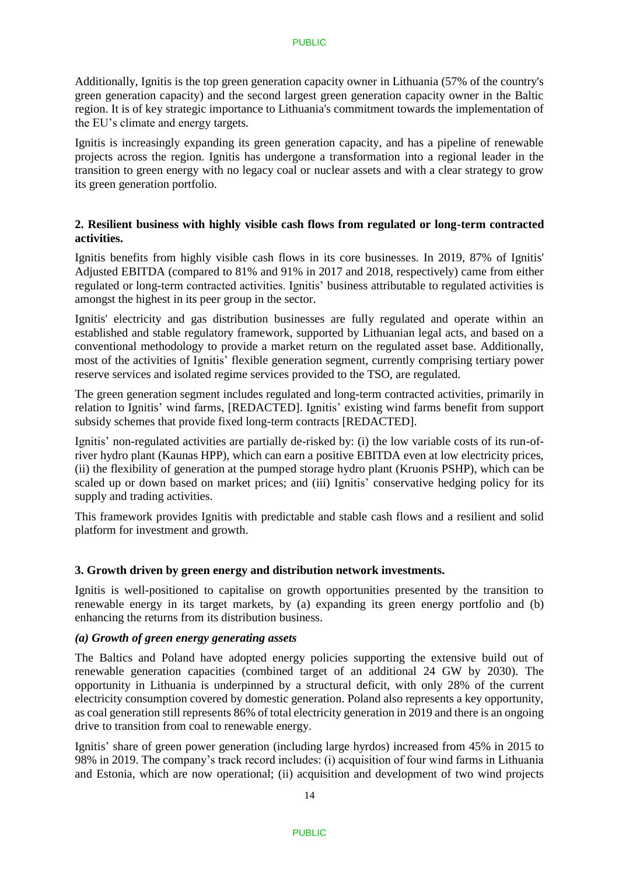Additionally, Ignitis is the top green generation capacity owner in Lithuania (57% of the country's green generation capacity) and the second largest green generation capacity owner in the Baltic region. It is of key strategic importance to Lithuania's commitment towards the implementation of the EU's climate and energy targets.

Ignitis is increasingly expanding its green generation capacity, and has a pipeline of renewable projects across the region. Ignitis has undergone a transformation into a regional leader in the transition to green energy with no legacy coal or nuclear assets and with a clear strategy to grow its green generation portfolio.

## **2. Resilient business with highly visible cash flows from regulated or long-term contracted activities.**

Ignitis benefits from highly visible cash flows in its core businesses. In 2019, 87% of Ignitis' Adjusted EBITDA (compared to 81% and 91% in 2017 and 2018, respectively) came from either regulated or long-term contracted activities. Ignitis' business attributable to regulated activities is amongst the highest in its peer group in the sector.

Ignitis' electricity and gas distribution businesses are fully regulated and operate within an established and stable regulatory framework, supported by Lithuanian legal acts, and based on a conventional methodology to provide a market return on the regulated asset base. Additionally, most of the activities of Ignitis' flexible generation segment, currently comprising tertiary power reserve services and isolated regime services provided to the TSO, are regulated.

The green generation segment includes regulated and long-term contracted activities, primarily in relation to Ignitis' wind farms, [REDACTED]. Ignitis' existing wind farms benefit from support subsidy schemes that provide fixed long-term contracts [REDACTED].

Ignitis' non-regulated activities are partially de-risked by: (i) the low variable costs of its run-ofriver hydro plant (Kaunas HPP), which can earn a positive EBITDA even at low electricity prices, (ii) the flexibility of generation at the pumped storage hydro plant (Kruonis PSHP), which can be scaled up or down based on market prices; and (iii) Ignitis' conservative hedging policy for its supply and trading activities.

This framework provides Ignitis with predictable and stable cash flows and a resilient and solid platform for investment and growth.

## **3. Growth driven by green energy and distribution network investments.**

Ignitis is well-positioned to capitalise on growth opportunities presented by the transition to renewable energy in its target markets, by (a) expanding its green energy portfolio and (b) enhancing the returns from its distribution business.

## *(a) Growth of green energy generating assets*

The Baltics and Poland have adopted energy policies supporting the extensive build out of renewable generation capacities (combined target of an additional 24 GW by 2030). The opportunity in Lithuania is underpinned by a structural deficit, with only 28% of the current electricity consumption covered by domestic generation. Poland also represents a key opportunity, as coal generation still represents 86% of total electricity generation in 2019 and there is an ongoing drive to transition from coal to renewable energy.

Ignitis' share of green power generation (including large hyrdos) increased from 45% in 2015 to 98% in 2019. The company's track record includes: (i) acquisition of four wind farms in Lithuania and Estonia, which are now operational; (ii) acquisition and development of two wind projects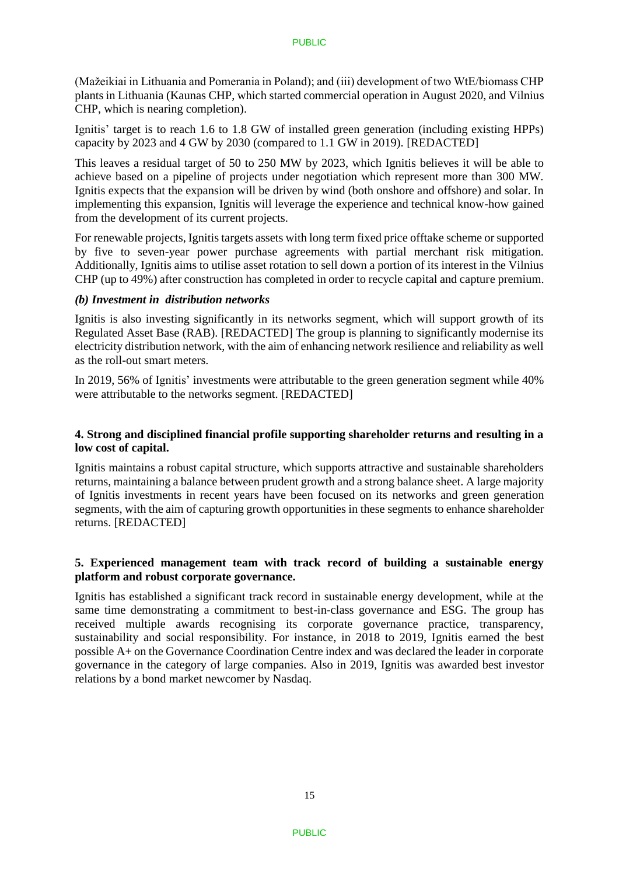(Mažeikiai in Lithuania and Pomerania in Poland); and (iii) development of two WtE/biomass CHP plants in Lithuania (Kaunas CHP, which started commercial operation in August 2020, and Vilnius CHP, which is nearing completion).

Ignitis' target is to reach 1.6 to 1.8 GW of installed green generation (including existing HPPs) capacity by 2023 and 4 GW by 2030 (compared to 1.1 GW in 2019). [REDACTED]

This leaves a residual target of 50 to 250 MW by 2023, which Ignitis believes it will be able to achieve based on a pipeline of projects under negotiation which represent more than 300 MW. Ignitis expects that the expansion will be driven by wind (both onshore and offshore) and solar. In implementing this expansion, Ignitis will leverage the experience and technical know-how gained from the development of its current projects.

For renewable projects, Ignitistargets assets with long term fixed price offtake scheme or supported by five to seven-year power purchase agreements with partial merchant risk mitigation. Additionally, Ignitis aims to utilise asset rotation to sell down a portion of its interest in the Vilnius CHP (up to 49%) after construction has completed in order to recycle capital and capture premium.

### *(b) Investment in distribution networks*

Ignitis is also investing significantly in its networks segment, which will support growth of its Regulated Asset Base (RAB). [REDACTED] The group is planning to significantly modernise its electricity distribution network, with the aim of enhancing network resilience and reliability as well as the roll-out smart meters.

In 2019, 56% of Ignitis' investments were attributable to the green generation segment while 40% were attributable to the networks segment. [REDACTED]

### **4. Strong and disciplined financial profile supporting shareholder returns and resulting in a low cost of capital.**

Ignitis maintains a robust capital structure, which supports attractive and sustainable shareholders returns, maintaining a balance between prudent growth and a strong balance sheet. A large majority of Ignitis investments in recent years have been focused on its networks and green generation segments, with the aim of capturing growth opportunities in these segments to enhance shareholder returns. [REDACTED]

### **5. Experienced management team with track record of building a sustainable energy platform and robust corporate governance.**

Ignitis has established a significant track record in sustainable energy development, while at the same time demonstrating a commitment to best-in-class governance and ESG. The group has received multiple awards recognising its corporate governance practice, transparency, sustainability and social responsibility. For instance, in 2018 to 2019, Ignitis earned the best possible A+ on the Governance Coordination Centre index and was declared the leader in corporate governance in the category of large companies. Also in 2019, Ignitis was awarded best investor relations by a bond market newcomer by Nasdaq.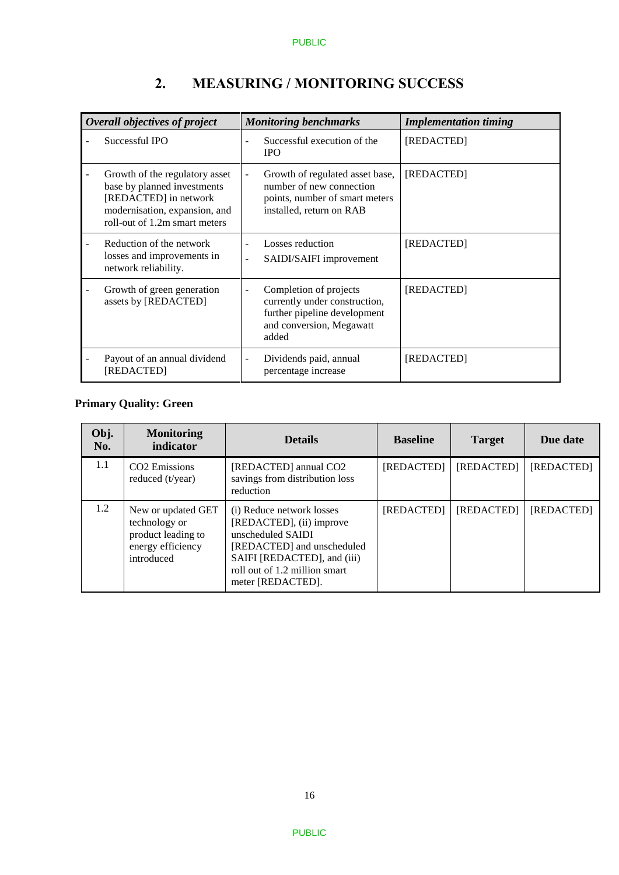| Overall objectives of project                                                                                                                            | <b>Monitoring benchmarks</b>                                                                                                    | <b>Implementation timing</b> |  |
|----------------------------------------------------------------------------------------------------------------------------------------------------------|---------------------------------------------------------------------------------------------------------------------------------|------------------------------|--|
| Successful IPO                                                                                                                                           | Successful execution of the<br><b>IPO</b>                                                                                       | [REDACTED]                   |  |
| Growth of the regulatory asset<br>base by planned investments<br>[REDACTED] in network<br>modernisation, expansion, and<br>roll-out of 1.2m smart meters | Growth of regulated asset base,<br>÷,<br>number of new connection<br>points, number of smart meters<br>installed, return on RAB | [REDACTED]                   |  |
| Reduction of the network<br>losses and improvements in<br>network reliability.                                                                           | Losses reduction<br>SAIDI/SAIFI improvement<br>÷                                                                                | [REDACTED]                   |  |
| Growth of green generation<br>assets by [REDACTED]                                                                                                       | Completion of projects<br>currently under construction,<br>further pipeline development<br>and conversion, Megawatt<br>added    | [REDACTED]                   |  |
| Payout of an annual dividend<br>[REDACTED]                                                                                                               | Dividends paid, annual<br>percentage increase                                                                                   | [REDACTED]                   |  |

# **2. MEASURING / MONITORING SUCCESS**

# **Primary Quality: Green**

| Obj.<br>No. | <b>Monitoring</b><br>indicator                                                               | <b>Details</b>                                                                                                                                                                                | <b>Baseline</b> | <b>Target</b> | Due date          |
|-------------|----------------------------------------------------------------------------------------------|-----------------------------------------------------------------------------------------------------------------------------------------------------------------------------------------------|-----------------|---------------|-------------------|
| 1.1         | CO <sub>2</sub> Emissions<br>reduced $(t/\text{year})$                                       | [REDACTED] annual CO2<br>savings from distribution loss<br>reduction                                                                                                                          | [REDACTED]      | [REDACTED]    | [REDACTED]        |
| 1.2         | New or updated GET<br>technology or<br>product leading to<br>energy efficiency<br>introduced | (i) Reduce network losses<br>[REDACTED], (ii) improve<br>unscheduled SAIDI<br>[REDACTED] and unscheduled<br>SAIFI [REDACTED], and (iii)<br>roll out of 1.2 million smart<br>meter [REDACTED]. | [REDACTED]      | [REDACTED]    | <b>[REDACTED]</b> |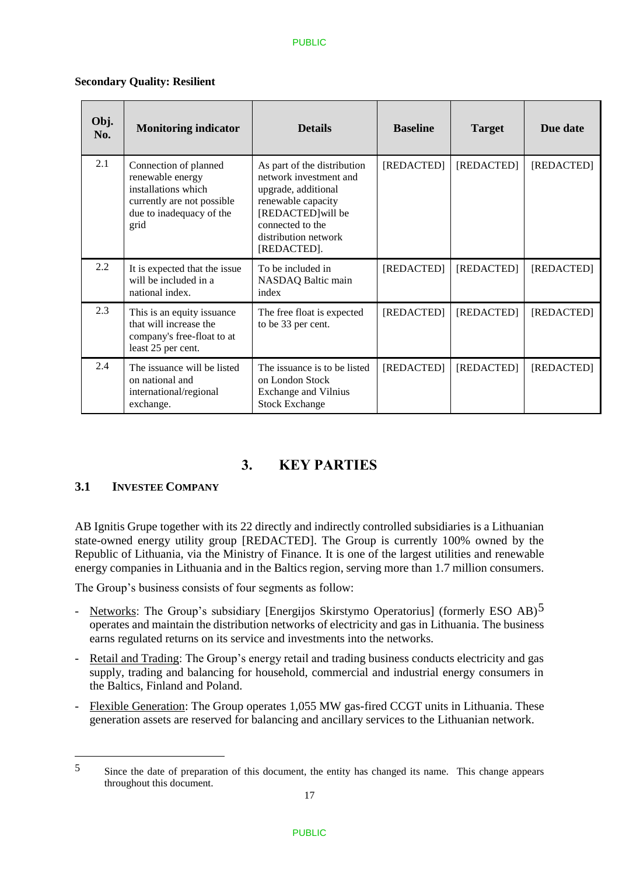| Obj.<br>No. | <b>Monitoring indicator</b>                                                                                                        | <b>Details</b>                                                                                                                                                                      | <b>Baseline</b> | <b>Target</b> | Due date   |
|-------------|------------------------------------------------------------------------------------------------------------------------------------|-------------------------------------------------------------------------------------------------------------------------------------------------------------------------------------|-----------------|---------------|------------|
| 2.1         | Connection of planned<br>renewable energy<br>installations which<br>currently are not possible<br>due to inadequacy of the<br>grid | As part of the distribution<br>network investment and<br>upgrade, additional<br>renewable capacity<br>[REDACTED] will be<br>connected to the<br>distribution network<br>[REDACTED]. | [REDACTED]      | [REDACTED]    | [REDACTED] |
| 2.2         | It is expected that the issue<br>will be included in a<br>national index.                                                          | To be included in<br>NASDAQ Baltic main<br>index                                                                                                                                    | [REDACTED]      | [REDACTED]    | [REDACTED] |
| 2.3         | This is an equity issuance<br>that will increase the<br>company's free-float to at<br>least 25 per cent.                           | The free float is expected<br>to be 33 per cent.                                                                                                                                    | [REDACTED]      | [REDACTED]    | [REDACTED] |
| 2.4         | The issuance will be listed<br>on national and<br>international/regional<br>exchange.                                              | The issuance is to be listed<br>on London Stock<br><b>Exchange and Vilnius</b><br><b>Stock Exchange</b>                                                                             | [REDACTED]      | [REDACTED]    | [REDACTED] |

#### **Secondary Quality: Resilient**

# **3. KEY PARTIES**

## **3.1 INVESTEE COMPANY**

<u>.</u>

AB Ignitis Grupe together with its 22 directly and indirectly controlled subsidiaries is a Lithuanian state-owned energy utility group [REDACTED]. The Group is currently 100% owned by the Republic of Lithuania, via the Ministry of Finance. It is one of the largest utilities and renewable energy companies in Lithuania and in the Baltics region, serving more than 1.7 million consumers.

The Group's business consists of four segments as follow:

- Networks: The Group's subsidiary [Energijos Skirstymo Operatorius] (formerly ESO AB)<sup>5</sup> operates and maintain the distribution networks of electricity and gas in Lithuania. The business earns regulated returns on its service and investments into the networks.
- Retail and Trading: The Group's energy retail and trading business conducts electricity and gas supply, trading and balancing for household, commercial and industrial energy consumers in the Baltics, Finland and Poland.
- Flexible Generation: The Group operates 1,055 MW gas-fired CCGT units in Lithuania. These generation assets are reserved for balancing and ancillary services to the Lithuanian network.

<sup>5</sup> Since the date of preparation of this document, the entity has changed its name. This change appears throughout this document.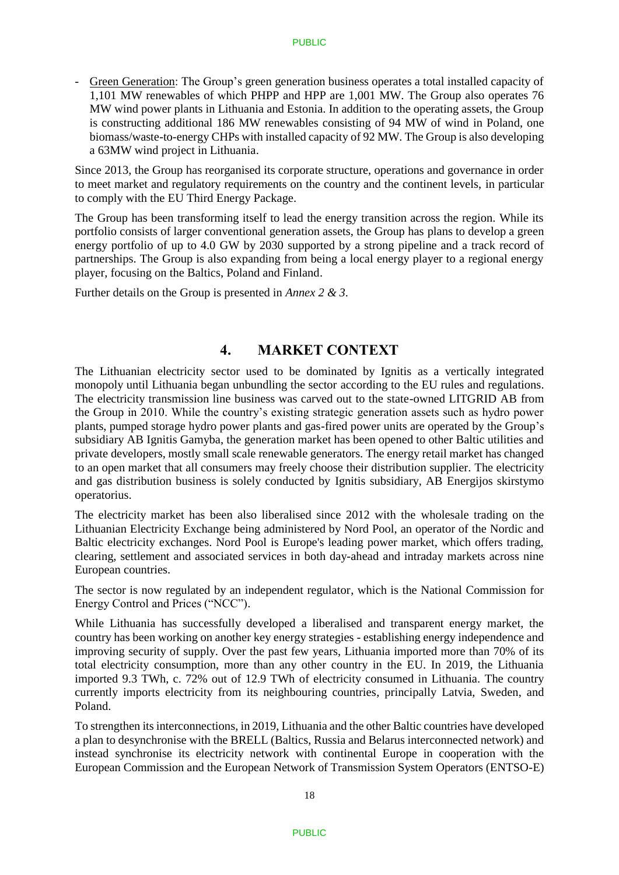Green Generation: The Group's green generation business operates a total installed capacity of 1,101 MW renewables of which PHPP and HPP are 1,001 MW. The Group also operates 76 MW wind power plants in Lithuania and Estonia. In addition to the operating assets, the Group is constructing additional 186 MW renewables consisting of 94 MW of wind in Poland, one biomass/waste-to-energy CHPs with installed capacity of 92 MW. The Group is also developing a 63MW wind project in Lithuania.

Since 2013, the Group has reorganised its corporate structure, operations and governance in order to meet market and regulatory requirements on the country and the continent levels, in particular to comply with the EU Third Energy Package.

The Group has been transforming itself to lead the energy transition across the region. While its portfolio consists of larger conventional generation assets, the Group has plans to develop a green energy portfolio of up to 4.0 GW by 2030 supported by a strong pipeline and a track record of partnerships. The Group is also expanding from being a local energy player to a regional energy player, focusing on the Baltics, Poland and Finland.

Further details on the Group is presented in *Annex 2 & 3*.

# **4. MARKET CONTEXT**

The Lithuanian electricity sector used to be dominated by Ignitis as a vertically integrated monopoly until Lithuania began unbundling the sector according to the EU rules and regulations. The electricity transmission line business was carved out to the state-owned LITGRID AB from the Group in 2010. While the country's existing strategic generation assets such as hydro power plants, pumped storage hydro power plants and gas-fired power units are operated by the Group's subsidiary AB Ignitis Gamyba, the generation market has been opened to other Baltic utilities and private developers, mostly small scale renewable generators. The energy retail market has changed to an open market that all consumers may freely choose their distribution supplier. The electricity and gas distribution business is solely conducted by Ignitis subsidiary, AB Energijos skirstymo operatorius.

The electricity market has been also liberalised since 2012 with the wholesale trading on the Lithuanian Electricity Exchange being administered by Nord Pool, an operator of the Nordic and Baltic electricity exchanges. Nord Pool is Europe's leading power market, which offers trading, clearing, settlement and associated services in both day-ahead and intraday markets across nine European countries.

The sector is now regulated by an independent regulator, which is the National Commission for Energy Control and Prices ("NCC").

While Lithuania has successfully developed a liberalised and transparent energy market, the country has been working on another key energy strategies - establishing energy independence and improving security of supply. Over the past few years, Lithuania imported more than 70% of its total electricity consumption, more than any other country in the EU. In 2019, the Lithuania imported 9.3 TWh, c. 72% out of 12.9 TWh of electricity consumed in Lithuania. The country currently imports electricity from its neighbouring countries, principally Latvia, Sweden, and Poland.

To strengthen its interconnections, in 2019, Lithuania and the other Baltic countries have developed a plan to desynchronise with the BRELL (Baltics, Russia and Belarus interconnected network) and instead synchronise its electricity network with continental Europe in cooperation with the European Commission and the European Network of Transmission System Operators (ENTSO-E)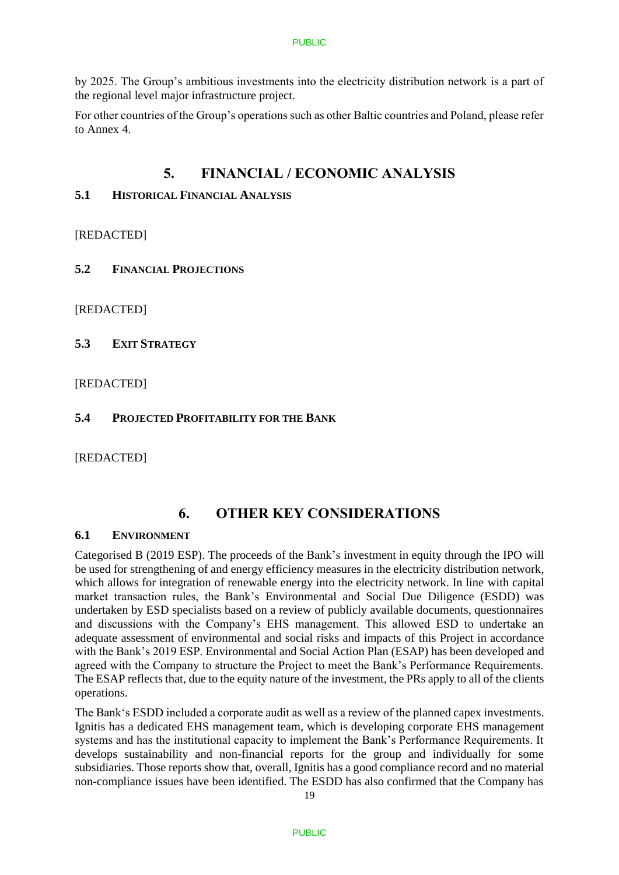by 2025. The Group's ambitious investments into the electricity distribution network is a part of the regional level major infrastructure project.

For other countries of the Group's operations such as other Baltic countries and Poland, please refer to Annex 4.

# **5. FINANCIAL / ECONOMIC ANALYSIS**

# **5.1 HISTORICAL FINANCIAL ANALYSIS**

[REDACTED]

**5.2 FINANCIAL PROJECTIONS**

[REDACTED]

**5.3 EXIT STRATEGY** 

## [REDACTED]

# **5.4 PROJECTED PROFITABILITY FOR THE BANK**

[REDACTED]

# **6. OTHER KEY CONSIDERATIONS**

## **6.1 ENVIRONMENT**

Categorised B (2019 ESP). The proceeds of the Bank's investment in equity through the IPO will be used for strengthening of and energy efficiency measures in the electricity distribution network, which allows for integration of renewable energy into the electricity network. In line with capital market transaction rules, the Bank's Environmental and Social Due Diligence (ESDD) was undertaken by ESD specialists based on a review of publicly available documents, questionnaires and discussions with the Company's EHS management. This allowed ESD to undertake an adequate assessment of environmental and social risks and impacts of this Project in accordance with the Bank's 2019 ESP. Environmental and Social Action Plan (ESAP) has been developed and agreed with the Company to structure the Project to meet the Bank's Performance Requirements. The ESAP reflects that, due to the equity nature of the investment, the PRs apply to all of the clients operations.

The Bank's ESDD included a corporate audit as well as a review of the planned capex investments. Ignitis has a dedicated EHS management team, which is developing corporate EHS management systems and has the institutional capacity to implement the Bank's Performance Requirements. It develops sustainability and non-financial reports for the group and individually for some subsidiaries. Those reports show that, overall, Ignitis has a good compliance record and no material non-compliance issues have been identified. The ESDD has also confirmed that the Company has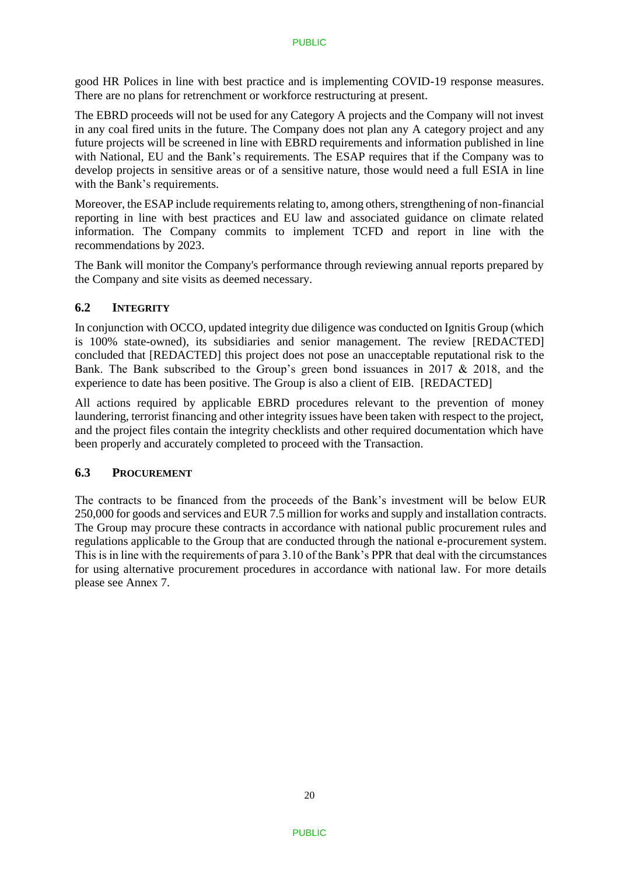good HR Polices in line with best practice and is implementing COVID-19 response measures. There are no plans for retrenchment or workforce restructuring at present.

The EBRD proceeds will not be used for any Category A projects and the Company will not invest in any coal fired units in the future. The Company does not plan any A category project and any future projects will be screened in line with EBRD requirements and information published in line with National, EU and the Bank's requirements. The ESAP requires that if the Company was to develop projects in sensitive areas or of a sensitive nature, those would need a full ESIA in line with the Bank's requirements.

Moreover, the ESAP include requirements relating to, among others, strengthening of non-financial reporting in line with best practices and EU law and associated guidance on climate related information. The Company commits to implement TCFD and report in line with the recommendations by 2023.

The Bank will monitor the Company's performance through reviewing annual reports prepared by the Company and site visits as deemed necessary.

### **6.2 INTEGRITY**

In conjunction with OCCO, updated integrity due diligence was conducted on Ignitis Group (which is 100% state-owned), its subsidiaries and senior management. The review [REDACTED] concluded that [REDACTED] this project does not pose an unacceptable reputational risk to the Bank. The Bank subscribed to the Group's green bond issuances in 2017 & 2018, and the experience to date has been positive. The Group is also a client of EIB. [REDACTED]

All actions required by applicable EBRD procedures relevant to the prevention of money laundering, terrorist financing and other integrity issues have been taken with respect to the project, and the project files contain the integrity checklists and other required documentation which have been properly and accurately completed to proceed with the Transaction.

### **6.3 PROCUREMENT**

The contracts to be financed from the proceeds of the Bank's investment will be below EUR 250,000 for goods and services and EUR 7.5 million for works and supply and installation contracts. The Group may procure these contracts in accordance with national public procurement rules and regulations applicable to the Group that are conducted through the national e-procurement system. This is in line with the requirements of para 3.10 of the Bank's PPR that deal with the circumstances for using alternative procurement procedures in accordance with national law. For more details please see Annex 7.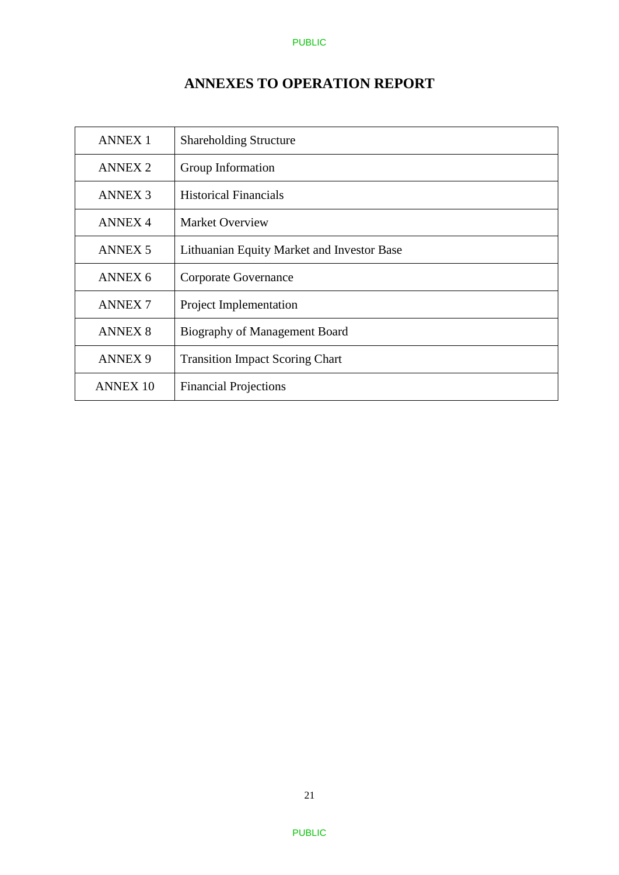# **ANNEXES TO OPERATION REPORT**

| <b>ANNEX 1</b>     | <b>Shareholding Structure</b>              |
|--------------------|--------------------------------------------|
| <b>ANNEX 2</b>     | Group Information                          |
| <b>ANNEX 3</b>     | <b>Historical Financials</b>               |
| <b>ANNEX 4</b>     | <b>Market Overview</b>                     |
| <b>ANNEX 5</b>     | Lithuanian Equity Market and Investor Base |
| ANNEX <sub>6</sub> | Corporate Governance                       |
| <b>ANNEX7</b>      | Project Implementation                     |
| <b>ANNEX 8</b>     | Biography of Management Board              |
| <b>ANNEX 9</b>     | <b>Transition Impact Scoring Chart</b>     |
| <b>ANNEX 10</b>    | <b>Financial Projections</b>               |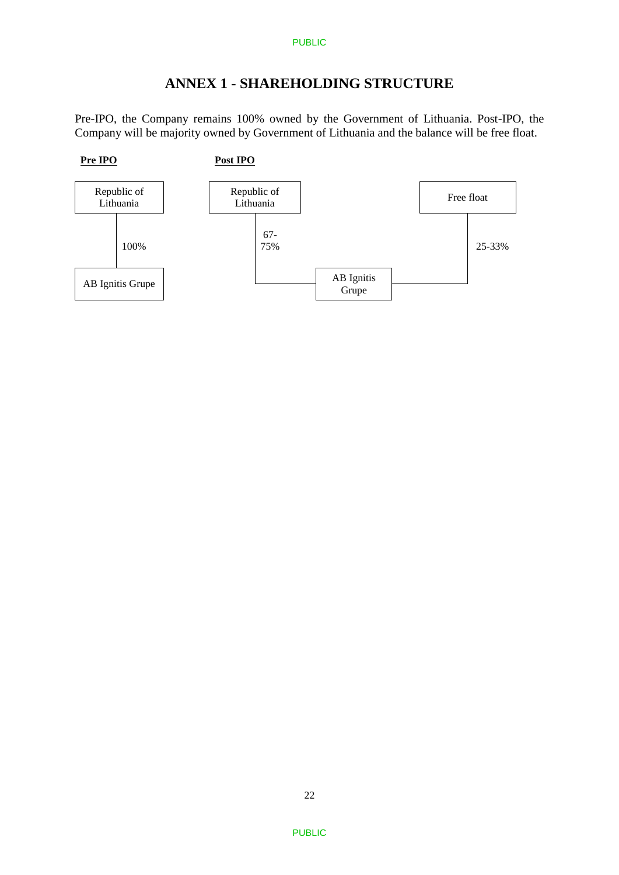# **ANNEX 1 - SHAREHOLDING STRUCTURE**

Pre-IPO, the Company remains 100% owned by the Government of Lithuania. Post-IPO, the Company will be majority owned by Government of Lithuania and the balance will be free float.

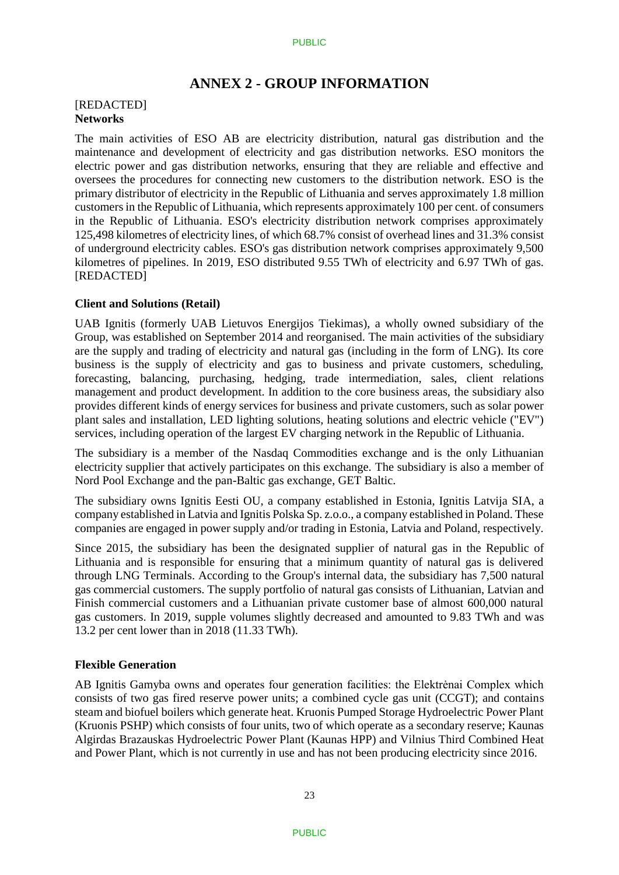# **ANNEX 2 - GROUP INFORMATION**

#### [REDACTED] **Networks**

The main activities of ESO AB are electricity distribution, natural gas distribution and the maintenance and development of electricity and gas distribution networks. ESO monitors the electric power and gas distribution networks, ensuring that they are reliable and effective and oversees the procedures for connecting new customers to the distribution network. ESO is the primary distributor of electricity in the Republic of Lithuania and serves approximately 1.8 million customers in the Republic of Lithuania, which represents approximately 100 per cent. of consumers in the Republic of Lithuania. ESO's electricity distribution network comprises approximately 125,498 kilometres of electricity lines, of which 68.7% consist of overhead lines and 31.3% consist of underground electricity cables. ESO's gas distribution network comprises approximately 9,500 kilometres of pipelines. In 2019, ESO distributed 9.55 TWh of electricity and 6.97 TWh of gas. [REDACTED]

#### **Client and Solutions (Retail)**

UAB Ignitis (formerly UAB Lietuvos Energijos Tiekimas), a wholly owned subsidiary of the Group, was established on September 2014 and reorganised. The main activities of the subsidiary are the supply and trading of electricity and natural gas (including in the form of LNG). Its core business is the supply of electricity and gas to business and private customers, scheduling, forecasting, balancing, purchasing, hedging, trade intermediation, sales, client relations management and product development. In addition to the core business areas, the subsidiary also provides different kinds of energy services for business and private customers, such as solar power plant sales and installation, LED lighting solutions, heating solutions and electric vehicle ("EV") services, including operation of the largest EV charging network in the Republic of Lithuania.

The subsidiary is a member of the Nasdaq Commodities exchange and is the only Lithuanian electricity supplier that actively participates on this exchange. The subsidiary is also a member of Nord Pool Exchange and the pan-Baltic gas exchange, GET Baltic.

The subsidiary owns Ignitis Eesti OU, a company established in Estonia, Ignitis Latvija SIA, a company established in Latvia and Ignitis Polska Sp. z.o.o., a company established in Poland. These companies are engaged in power supply and/or trading in Estonia, Latvia and Poland, respectively.

Since 2015, the subsidiary has been the designated supplier of natural gas in the Republic of Lithuania and is responsible for ensuring that a minimum quantity of natural gas is delivered through LNG Terminals. According to the Group's internal data, the subsidiary has 7,500 natural gas commercial customers. The supply portfolio of natural gas consists of Lithuanian, Latvian and Finish commercial customers and a Lithuanian private customer base of almost 600,000 natural gas customers. In 2019, supple volumes slightly decreased and amounted to 9.83 TWh and was 13.2 per cent lower than in 2018 (11.33 TWh).

#### **Flexible Generation**

AB Ignitis Gamyba owns and operates four generation facilities: the Elektrėnai Complex which consists of two gas fired reserve power units; a combined cycle gas unit (CCGT); and contains steam and biofuel boilers which generate heat. Kruonis Pumped Storage Hydroelectric Power Plant (Kruonis PSHP) which consists of four units, two of which operate as a secondary reserve; Kaunas Algirdas Brazauskas Hydroelectric Power Plant (Kaunas HPP) and Vilnius Third Combined Heat and Power Plant, which is not currently in use and has not been producing electricity since 2016.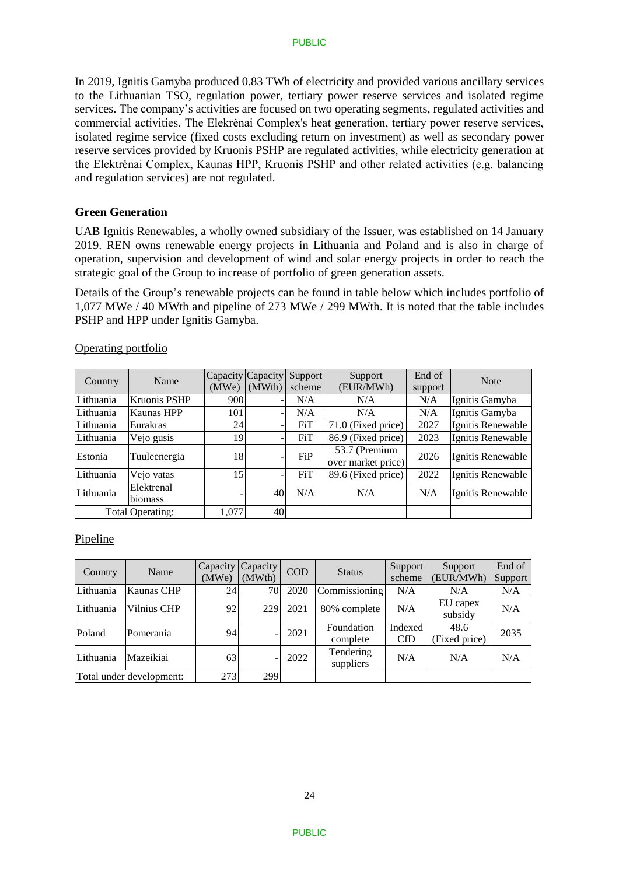In 2019, Ignitis Gamyba produced 0.83 TWh of electricity and provided various ancillary services to the Lithuanian TSO, regulation power, tertiary power reserve services and isolated regime services. The company's activities are focused on two operating segments, regulated activities and commercial activities. The Elekrėnai Complex's heat generation, tertiary power reserve services, isolated regime service (fixed costs excluding return on investment) as well as secondary power reserve services provided by Kruonis PSHP are regulated activities, while electricity generation at the Elektrėnai Complex, Kaunas HPP, Kruonis PSHP and other related activities (e.g. balancing and regulation services) are not regulated.

#### **Green Generation**

UAB Ignitis Renewables, a wholly owned subsidiary of the Issuer, was established on 14 January 2019. REN owns renewable energy projects in Lithuania and Poland and is also in charge of operation, supervision and development of wind and solar energy projects in order to reach the strategic goal of the Group to increase of portfolio of green generation assets.

Details of the Group's renewable projects can be found in table below which includes portfolio of 1,077 MWe / 40 MWth and pipeline of 273 MWe / 299 MWth. It is noted that the table includes PSHP and HPP under Ignitis Gamyba.

| Country          | Name                  | (MWe) | Capacity Capacity<br>(MWth) | Support <sup>1</sup><br>scheme | Support<br>(EUR/MWh)                | End of<br>support | <b>Note</b>       |
|------------------|-----------------------|-------|-----------------------------|--------------------------------|-------------------------------------|-------------------|-------------------|
| Lithuania        | <b>Kruonis PSHP</b>   | 900   |                             | N/A                            | N/A                                 | N/A               | Ignitis Gamyba    |
| Lithuania        | <b>Kaunas HPP</b>     | 101   |                             | N/A                            | N/A                                 | N/A               | Ignitis Gamyba    |
| Lithuania        | Eurakras              | 24    |                             | FiT                            | 71.0 (Fixed price)                  | 2027              | Ignitis Renewable |
| Lithuania        | Vejo gusis            | 19    |                             | <b>FiT</b>                     | 86.9 (Fixed price)                  | 2023              | Ignitis Renewable |
| Estonia          | Tuuleenergia          | 18    |                             | FiP                            | 53.7 (Premium<br>over market price) | 2026              | Ignitis Renewable |
| Lithuania        | Vejo vatas            | 15    |                             | <b>FiT</b>                     | 89.6 (Fixed price)                  | 2022              | Ignitis Renewable |
| Lithuania        | Elektrenal<br>biomass |       | 40                          | N/A                            | N/A                                 | N/A               | Ignitis Renewable |
| Total Operating: |                       | 1.077 | 40                          |                                |                                     |                   |                   |

#### Operating portfolio

## Pipeline

| Country                  | Name        | Capacity<br>Capacity<br><b>COD</b><br>(MWe)<br>(MWth) |     | <b>Status</b> | Support<br>scheme      | Support<br>(EUR/MWh) | End of<br>Support     |      |
|--------------------------|-------------|-------------------------------------------------------|-----|---------------|------------------------|----------------------|-----------------------|------|
| Lithuania                | Kaunas CHP  | 24                                                    | 70  | 2020          | Commissioning          | N/A                  | N/A                   | N/A  |
|                          |             |                                                       |     |               |                        |                      |                       |      |
| Lithuania                | Vilnius CHP | 92                                                    | 229 | 2021          | 80% complete           | N/A                  | EU capex<br>subsidy   | N/A  |
| Poland                   | Pomerania   | 94                                                    |     | 2021          | Foundation<br>complete | Indexed<br>CfD       | 48.6<br>(Fixed price) | 2035 |
| Lithuania                | Mazeikiai   | 63                                                    |     | 2022          | Tendering<br>suppliers | N/A                  | N/A                   | N/A  |
| Total under development: |             | 273                                                   | 299 |               |                        |                      |                       |      |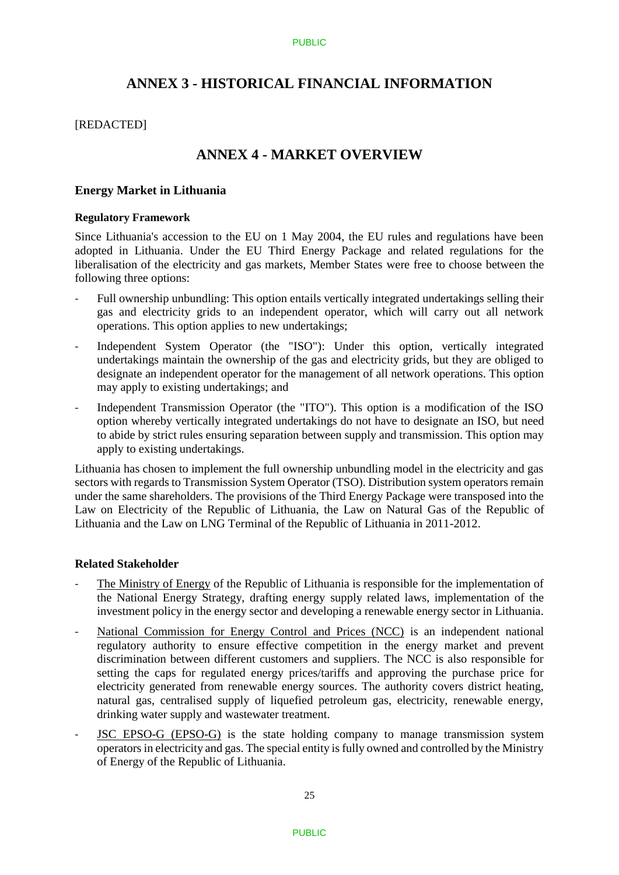# **ANNEX 3 - HISTORICAL FINANCIAL INFORMATION**

### [REDACTED]

# **ANNEX 4 - MARKET OVERVIEW**

### **Energy Market in Lithuania**

#### **Regulatory Framework**

Since Lithuania's accession to the EU on 1 May 2004, the EU rules and regulations have been adopted in Lithuania. Under the EU Third Energy Package and related regulations for the liberalisation of the electricity and gas markets, Member States were free to choose between the following three options:

- Full ownership unbundling: This option entails vertically integrated undertakings selling their gas and electricity grids to an independent operator, which will carry out all network operations. This option applies to new undertakings;
- Independent System Operator (the "ISO"): Under this option, vertically integrated undertakings maintain the ownership of the gas and electricity grids, but they are obliged to designate an independent operator for the management of all network operations. This option may apply to existing undertakings; and
- Independent Transmission Operator (the "ITO"). This option is a modification of the ISO option whereby vertically integrated undertakings do not have to designate an ISO, but need to abide by strict rules ensuring separation between supply and transmission. This option may apply to existing undertakings.

Lithuania has chosen to implement the full ownership unbundling model in the electricity and gas sectors with regards to Transmission System Operator (TSO). Distribution system operators remain under the same shareholders. The provisions of the Third Energy Package were transposed into the Law on Electricity of the Republic of Lithuania, the Law on Natural Gas of the Republic of Lithuania and the Law on LNG Terminal of the Republic of Lithuania in 2011-2012.

### **Related Stakeholder**

- The Ministry of Energy of the Republic of Lithuania is responsible for the implementation of the National Energy Strategy, drafting energy supply related laws, implementation of the investment policy in the energy sector and developing a renewable energy sector in Lithuania.
- National Commission for Energy Control and Prices (NCC) is an independent national regulatory authority to ensure effective competition in the energy market and prevent discrimination between different customers and suppliers. The NCC is also responsible for setting the caps for regulated energy prices/tariffs and approving the purchase price for electricity generated from renewable energy sources. The authority covers district heating, natural gas, centralised supply of liquefied petroleum gas, electricity, renewable energy, drinking water supply and wastewater treatment.
- JSC EPSO-G (EPSO-G) is the state holding company to manage transmission system operators in electricity and gas. The special entity is fully owned and controlled by the Ministry of Energy of the Republic of Lithuania.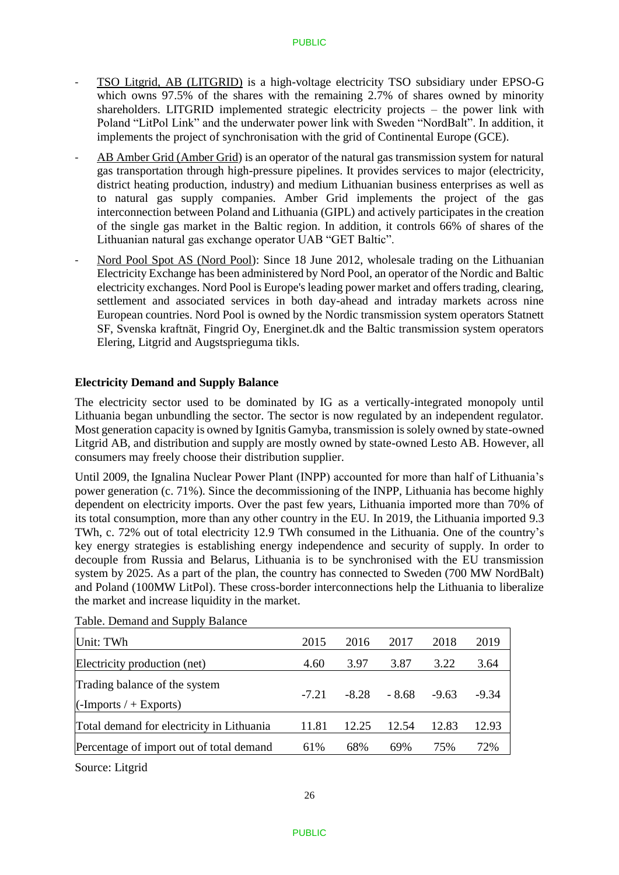- TSO Litgrid, AB (LITGRID) is a high-voltage electricity TSO subsidiary under EPSO-G which owns 97.5% of the shares with the remaining 2.7% of shares owned by minority shareholders. LITGRID implemented strategic electricity projects – the power link with Poland "LitPol Link" and the underwater power link with Sweden "NordBalt". In addition, it implements the project of synchronisation with the grid of Continental Europe (GCE).
- AB Amber Grid (Amber Grid) is an operator of the natural gas transmission system for natural gas transportation through high-pressure pipelines. It provides services to major (electricity, district heating production, industry) and medium Lithuanian business enterprises as well as to natural gas supply companies. Amber Grid implements the project of the gas interconnection between Poland and Lithuania (GIPL) and actively participates in the creation of the single gas market in the Baltic region. In addition, it controls 66% of shares of the Lithuanian natural gas exchange operator UAB "GET Baltic".
- Nord Pool Spot AS (Nord Pool): Since 18 June 2012, wholesale trading on the Lithuanian Electricity Exchange has been administered by Nord Pool, an operator of the Nordic and Baltic electricity exchanges. Nord Pool is Europe's leading power market and offers trading, clearing, settlement and associated services in both day-ahead and intraday markets across nine European countries. Nord Pool is owned by the Nordic transmission system operators Statnett SF, Svenska kraftnät, Fingrid Oy, Energinet.dk and the Baltic transmission system operators Elering, Litgrid and Augstsprieguma tikls.

### **Electricity Demand and Supply Balance**

The electricity sector used to be dominated by IG as a vertically-integrated monopoly until Lithuania began unbundling the sector. The sector is now regulated by an independent regulator. Most generation capacity is owned by Ignitis Gamyba, transmission is solely owned by state-owned Litgrid AB, and distribution and supply are mostly owned by state-owned Lesto AB. However, all consumers may freely choose their distribution supplier.

Until 2009, the Ignalina Nuclear Power Plant (INPP) accounted for more than half of Lithuania's power generation (c. 71%). Since the decommissioning of the INPP, Lithuania has become highly dependent on electricity imports. Over the past few years, Lithuania imported more than 70% of its total consumption, more than any other country in the EU. In 2019, the Lithuania imported 9.3 TWh, c. 72% out of total electricity 12.9 TWh consumed in the Lithuania. One of the country's key energy strategies is establishing energy independence and security of supply. In order to decouple from Russia and Belarus, Lithuania is to be synchronised with the EU transmission system by 2025. As a part of the plan, the country has connected to Sweden (700 MW NordBalt) and Poland (100MW LitPol). These cross-border interconnections help the Lithuania to liberalize the market and increase liquidity in the market.

| Unit: TWh                                                        | 2015    | 2016    | 2017    | 2018    | 2019    |
|------------------------------------------------------------------|---------|---------|---------|---------|---------|
| Electricity production (net)                                     | 4.60    | 3.97    | 3.87    | 3.22    | 3.64    |
| Trading balance of the system<br>$\Gamma$ (-Imports / + Exports) | $-7.21$ | $-8.28$ | $-8.68$ | $-9.63$ | $-9.34$ |
| Total demand for electricity in Lithuania                        | 11.81   | 12.25   | 12.54   | 12.83   | 12.93   |
| Percentage of import out of total demand                         | 61%     | 68%     | 69%     | 75%     | 72%     |
|                                                                  |         |         |         |         |         |

Table. Demand and Supply Balance

Source: Litgrid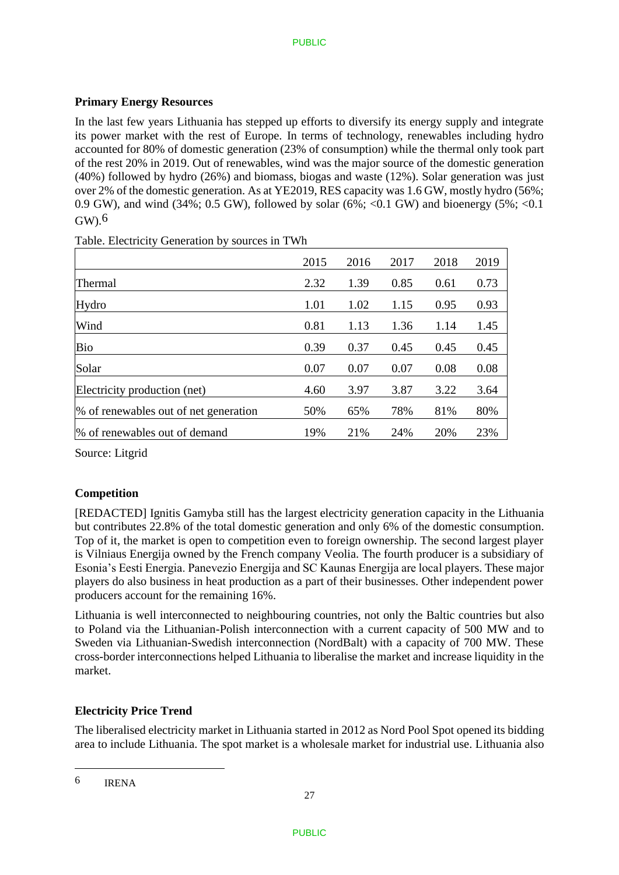# **Primary Energy Resources**

In the last few years Lithuania has stepped up efforts to diversify its energy supply and integrate its power market with the rest of Europe. In terms of technology, renewables including hydro accounted for 80% of domestic generation (23% of consumption) while the thermal only took part of the rest 20% in 2019. Out of renewables, wind was the major source of the domestic generation (40%) followed by hydro (26%) and biomass, biogas and waste (12%). Solar generation was just over 2% of the domestic generation. As at YE2019, RES capacity was 1.6 GW, mostly hydro (56%; 0.9 GW), and wind  $(34\%; 0.5 \text{ GW})$ , followed by solar  $(6\%; <0.1 \text{ GW})$  and bioenergy  $(5\%; <0.1 \text{ GW})$  $GW<sup>6</sup>$ 

|                                       | 2015 | 2016 | 2017 | 2018 | 2019 |
|---------------------------------------|------|------|------|------|------|
| Thermal                               | 2.32 | 1.39 | 0.85 | 0.61 | 0.73 |
| Hydro                                 | 1.01 | 1.02 | 1.15 | 0.95 | 0.93 |
| Wind                                  | 0.81 | 1.13 | 1.36 | 1.14 | 1.45 |
| Bio                                   | 0.39 | 0.37 | 0.45 | 0.45 | 0.45 |
| Solar                                 | 0.07 | 0.07 | 0.07 | 0.08 | 0.08 |
| Electricity production (net)          | 4.60 | 3.97 | 3.87 | 3.22 | 3.64 |
| % of renewables out of net generation | 50%  | 65%  | 78%  | 81%  | 80%  |
| % of renewables out of demand         | 19%  | 21%  | 24%  | 20%  | 23%  |

Table. Electricity Generation by sources in TWh

Source: Litgrid

## **Competition**

[REDACTED] Ignitis Gamyba still has the largest electricity generation capacity in the Lithuania but contributes 22.8% of the total domestic generation and only 6% of the domestic consumption. Top of it, the market is open to competition even to foreign ownership. The second largest player is Vilniaus Energija owned by the French company Veolia. The fourth producer is a subsidiary of Esonia's Eesti Energia. Panevezio Energija and SC Kaunas Energija are local players. These major players do also business in heat production as a part of their businesses. Other independent power producers account for the remaining 16%.

Lithuania is well interconnected to neighbouring countries, not only the Baltic countries but also to Poland via the Lithuanian-Polish interconnection with a current capacity of 500 MW and to Sweden via Lithuanian-Swedish interconnection (NordBalt) with a capacity of 700 MW. These cross-border interconnections helped Lithuania to liberalise the market and increase liquidity in the market.

## **Electricity Price Trend**

The liberalised electricity market in Lithuania started in 2012 as Nord Pool Spot opened its bidding area to include Lithuania. The spot market is a wholesale market for industrial use. Lithuania also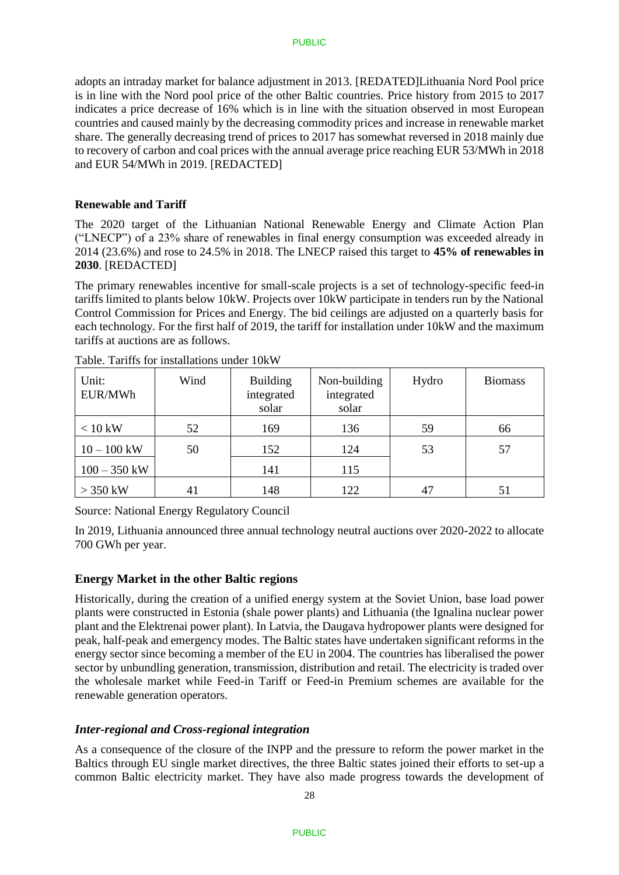adopts an intraday market for balance adjustment in 2013. [REDATED]Lithuania Nord Pool price is in line with the Nord pool price of the other Baltic countries. Price history from 2015 to 2017 indicates a price decrease of 16% which is in line with the situation observed in most European countries and caused mainly by the decreasing commodity prices and increase in renewable market share. The generally decreasing trend of prices to 2017 has somewhat reversed in 2018 mainly due to recovery of carbon and coal prices with the annual average price reaching EUR 53/MWh in 2018 and EUR 54/MWh in 2019. [REDACTED]

### **Renewable and Tariff**

The 2020 target of the Lithuanian National Renewable Energy and Climate Action Plan ("LNECP") of a 23% share of renewables in final energy consumption was exceeded already in 2014 (23.6%) and rose to 24.5% in 2018. The LNECP raised this target to **45% of renewables in 2030**. [REDACTED]

The primary renewables incentive for small-scale projects is a set of technology-specific feed-in tariffs limited to plants below 10kW. Projects over 10kW participate in tenders run by the National Control Commission for Prices and Energy. The bid ceilings are adjusted on a quarterly basis for each technology. For the first half of 2019, the tariff for installation under 10kW and the maximum tariffs at auctions are as follows.

| Unit:<br>EUR/MWh | Wind | <b>Building</b><br>integrated<br>solar | Non-building<br>integrated<br>solar | Hydro | <b>Biomass</b> |
|------------------|------|----------------------------------------|-------------------------------------|-------|----------------|
| $< 10$ kW        | 52   | 169                                    | 136                                 | 59    | 66             |
| $10 - 100$ kW    | 50   | 152                                    | 124                                 | 53    | 57             |
| $100 - 350$ kW   |      | 141                                    | 115                                 |       |                |
| $>$ 350 kW       | 41   | 148                                    | 122                                 | 47    | 51             |

Table. Tariffs for installations under 10kW

Source: National Energy Regulatory Council

In 2019, Lithuania announced three annual technology neutral auctions over 2020-2022 to allocate 700 GWh per year.

## **Energy Market in the other Baltic regions**

Historically, during the creation of a unified energy system at the Soviet Union, base load power plants were constructed in Estonia (shale power plants) and Lithuania (the Ignalina nuclear power plant and the Elektrenai power plant). In Latvia, the Daugava hydropower plants were designed for peak, half-peak and emergency modes. The Baltic states have undertaken significant reforms in the energy sector since becoming a member of the EU in 2004. The countries has liberalised the power sector by unbundling generation, transmission, distribution and retail. The electricity is traded over the wholesale market while Feed-in Tariff or Feed-in Premium schemes are available for the renewable generation operators.

## *Inter-regional and Cross-regional integration*

As a consequence of the closure of the INPP and the pressure to reform the power market in the Baltics through EU single market directives, the three Baltic states joined their efforts to set-up a common Baltic electricity market. They have also made progress towards the development of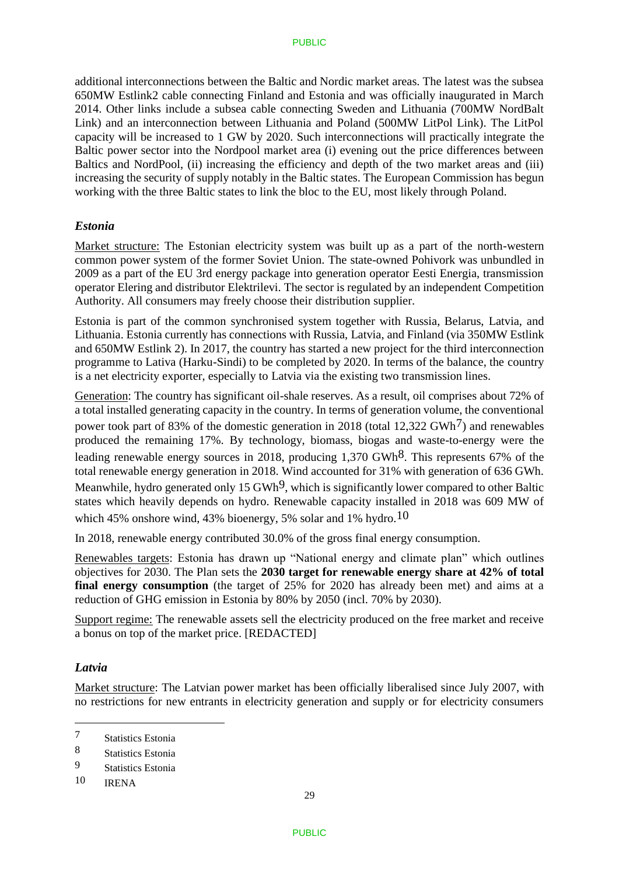additional interconnections between the Baltic and Nordic market areas. The latest was the subsea 650MW Estlink2 cable connecting Finland and Estonia and was officially inaugurated in March 2014. Other links include a subsea cable connecting Sweden and Lithuania (700MW NordBalt Link) and an interconnection between Lithuania and Poland (500MW LitPol Link). The LitPol capacity will be increased to 1 GW by 2020. Such interconnections will practically integrate the Baltic power sector into the Nordpool market area (i) evening out the price differences between Baltics and NordPool, (ii) increasing the efficiency and depth of the two market areas and (iii) increasing the security of supply notably in the Baltic states. The European Commission has begun working with the three Baltic states to link the bloc to the EU, most likely through Poland.

## *Estonia*

Market structure: The Estonian electricity system was built up as a part of the north-western common power system of the former Soviet Union. The state-owned Pohivork was unbundled in 2009 as a part of the EU 3rd energy package into generation operator Eesti Energia, transmission operator Elering and distributor Elektrilevi. The sector is regulated by an independent Competition Authority. All consumers may freely choose their distribution supplier.

Estonia is part of the common synchronised system together with Russia, Belarus, Latvia, and Lithuania. Estonia currently has connections with Russia, Latvia, and Finland (via 350MW Estlink and 650MW Estlink 2). In 2017, the country has started a new project for the third interconnection programme to Lativa (Harku-Sindi) to be completed by 2020. In terms of the balance, the country is a net electricity exporter, especially to Latvia via the existing two transmission lines.

Generation: The country has significant oil-shale reserves. As a result, oil comprises about 72% of a total installed generating capacity in the country. In terms of generation volume, the conventional power took part of 83% of the domestic generation in 2018 (total 12,322 GWh<sup>7</sup>) and renewables produced the remaining 17%. By technology, biomass, biogas and waste-to-energy were the leading renewable energy sources in 2018, producing  $1,370$  GWh<sup>8</sup>. This represents 67% of the total renewable energy generation in 2018. Wind accounted for 31% with generation of 636 GWh. Meanwhile, hydro generated only 15 GWh<sup>9</sup>, which is significantly lower compared to other Baltic states which heavily depends on hydro. Renewable capacity installed in 2018 was 609 MW of which 45% onshore wind, 43% bioenergy, 5% solar and 1% hydro.<sup>10</sup>

In 2018, renewable energy contributed 30.0% of the gross final energy consumption.

Renewables targets: Estonia has drawn up "National energy and climate plan" which outlines objectives for 2030. The Plan sets the **2030 target for renewable energy share at 42% of total final energy consumption** (the target of 25% for 2020 has already been met) and aims at a reduction of GHG emission in Estonia by 80% by 2050 (incl. 70% by 2030).

Support regime: The renewable assets sell the electricity produced on the free market and receive a bonus on top of the market price. [REDACTED]

## *Latvia*

1

Market structure: The Latvian power market has been officially liberalised since July 2007, with no restrictions for new entrants in electricity generation and supply or for electricity consumers

<sup>7</sup> Statistics Estonia

<sup>8</sup> Statistics Estonia

<sup>9</sup> Statistics Estonia

<sup>10</sup> IRENA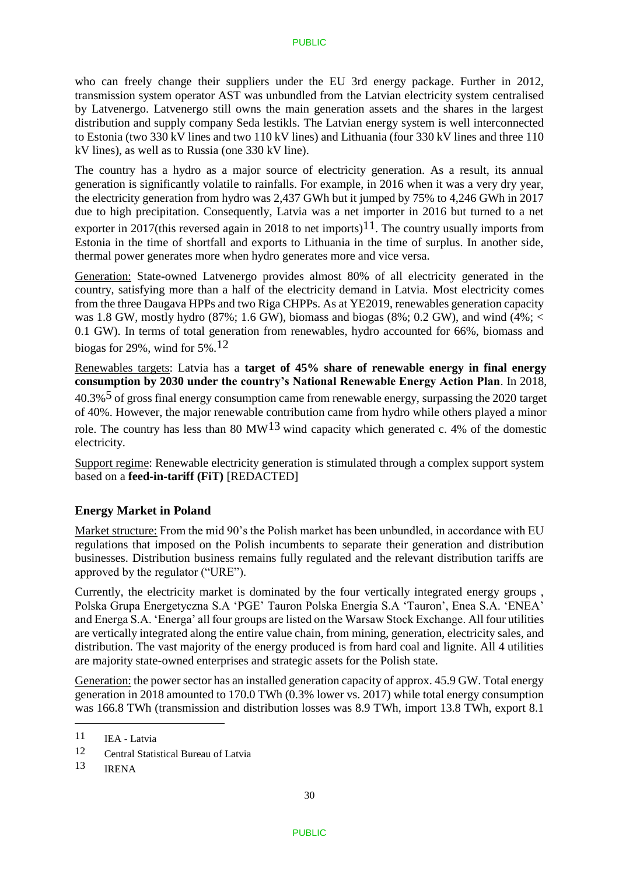who can freely change their suppliers under the EU 3rd energy package. Further in 2012, transmission system operator AST was unbundled from the Latvian electricity system centralised by Latvenergo. Latvenergo still owns the main generation assets and the shares in the largest distribution and supply company Seda lestikls. The Latvian energy system is well interconnected to Estonia (two 330 kV lines and two 110 kV lines) and Lithuania (four 330 kV lines and three 110 kV lines), as well as to Russia (one 330 kV line).

The country has a hydro as a major source of electricity generation. As a result, its annual generation is significantly volatile to rainfalls. For example, in 2016 when it was a very dry year, the electricity generation from hydro was 2,437 GWh but it jumped by 75% to 4,246 GWh in 2017 due to high precipitation. Consequently, Latvia was a net importer in 2016 but turned to a net exporter in 2017(this reversed again in 2018 to net imports)<sup>11</sup>. The country usually imports from Estonia in the time of shortfall and exports to Lithuania in the time of surplus. In another side, thermal power generates more when hydro generates more and vice versa.

Generation: State-owned Latvenergo provides almost 80% of all electricity generated in the country, satisfying more than a half of the electricity demand in Latvia. Most electricity comes from the three Daugava HPPs and two Riga CHPPs. As at YE2019, renewables generation capacity was 1.8 GW, mostly hydro (87%; 1.6 GW), biomass and biogas (8%; 0.2 GW), and wind (4%;  $\lt$ 0.1 GW). In terms of total generation from renewables, hydro accounted for 66%, biomass and biogas for 29%, wind for 5%.12

Renewables targets: Latvia has a **target of 45% share of renewable energy in final energy consumption by 2030 under the country's National Renewable Energy Action Plan**. In 2018, 40.3%5 of gross final energy consumption came from renewable energy, surpassing the 2020 target of 40%. However, the major renewable contribution came from hydro while others played a minor role. The country has less than 80 MW<sup>13</sup> wind capacity which generated c. 4% of the domestic electricity.

Support regime: Renewable electricity generation is stimulated through a complex support system based on a **feed-in-tariff (FiT)** [REDACTED]

## **Energy Market in Poland**

Market structure: From the mid 90's the Polish market has been unbundled, in accordance with EU regulations that imposed on the Polish incumbents to separate their generation and distribution businesses. Distribution business remains fully regulated and the relevant distribution tariffs are approved by the regulator ("URE").

Currently, the electricity market is dominated by the four vertically integrated energy groups , Polska Grupa Energetyczna S.A 'PGE' Tauron Polska Energia S.A 'Tauron', Enea S.A. 'ENEA' and Energa S.A. 'Energa' all four groups are listed on the Warsaw Stock Exchange. All four utilities are vertically integrated along the entire value chain, from mining, generation, electricity sales, and distribution. The vast majority of the energy produced is from hard coal and lignite. All 4 utilities are majority state-owned enterprises and strategic assets for the Polish state.

Generation: the power sector has an installed generation capacity of approx. 45.9 GW. Total energy generation in 2018 amounted to 170.0 TWh (0.3% lower vs. 2017) while total energy consumption was 166.8 TWh (transmission and distribution losses was 8.9 TWh, import 13.8 TWh, export 8.1

 $11$  IEA - Latvia

<sup>12</sup> Central Statistical Bureau of Latvia

<sup>13</sup> IRENA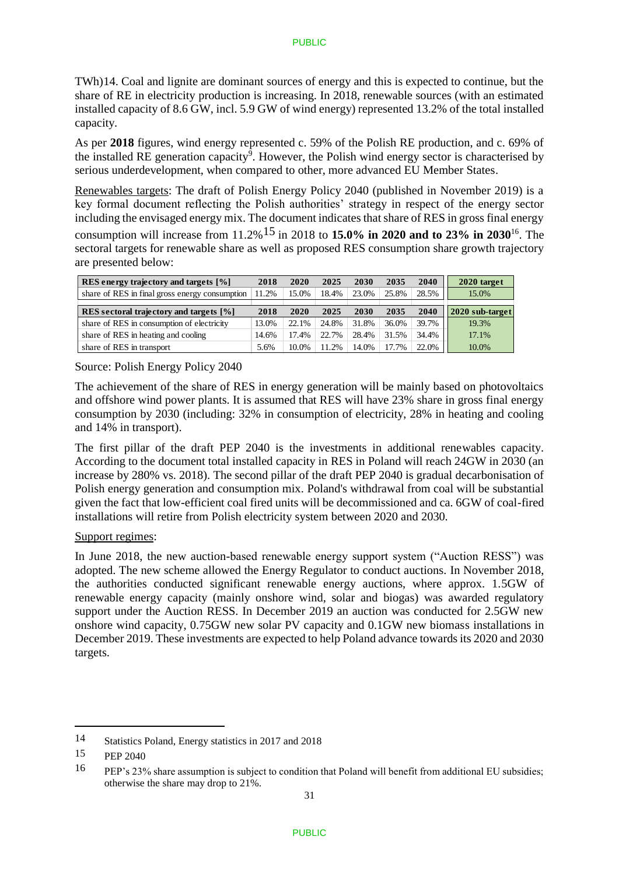TWh)14. Coal and lignite are dominant sources of energy and this is expected to continue, but the share of RE in electricity production is increasing. In 2018, renewable sources (with an estimated installed capacity of 8.6 GW, incl. 5.9 GW of wind energy) represented 13.2% of the total installed capacity.

As per **2018** figures, wind energy represented c. 59% of the Polish RE production, and c. 69% of the installed RE generation capacity<sup>9</sup>. However, the Polish wind energy sector is characterised by serious underdevelopment, when compared to other, more advanced EU Member States.

Renewables targets: The draft of Polish Energy Policy 2040 (published in November 2019) is a key formal document reflecting the Polish authorities' strategy in respect of the energy sector including the envisaged energy mix. The document indicates that share of RES in gross final energy consumption will increase from 11.2%15 in 2018 to **15.0% in 2020 and to 23% in 2030**<sup>16</sup>. The sectoral targets for renewable share as well as proposed RES consumption share growth trajectory are presented below:

| RES energy trajectory and targets [%]          | 2018  | 2020  | 2025  | 2030  | 2035  | 2040  | 2020 target     |
|------------------------------------------------|-------|-------|-------|-------|-------|-------|-----------------|
| share of RES in final gross energy consumption | 11.2% | 15.0% | 18.4% | 23.0% | 25.8% | 28.5% | 15.0%           |
|                                                |       |       |       |       |       |       |                 |
| RES sectoral trajectory and targets [%]        | 2018  | 2020  | 2025  | 2030  | 2035  | 2040  | 2020 sub-target |
| share of RES in consumption of electricity     | 13.0% | 22.1% | 24.8% | 31.8% | 36.0% | 39.7% | 19.3%           |
| share of RES in heating and cooling            | 14.6% | 17.4% | 22.7% | 28.4% | 31.5% | 34.4% | 17.1%           |
| share of RES in transport                      | 5.6%  | 10.0% | 11.2% | 14.0% | 17.7% | 22.0% | 10.0%           |

Source: Polish Energy Policy 2040

The achievement of the share of RES in energy generation will be mainly based on photovoltaics and offshore wind power plants. It is assumed that RES will have 23% share in gross final energy consumption by 2030 (including: 32% in consumption of electricity, 28% in heating and cooling and 14% in transport).

The first pillar of the draft PEP 2040 is the investments in additional renewables capacity. According to the document total installed capacity in RES in Poland will reach 24GW in 2030 (an increase by 280% vs. 2018). The second pillar of the draft PEP 2040 is gradual decarbonisation of Polish energy generation and consumption mix. Poland's withdrawal from coal will be substantial given the fact that low-efficient coal fired units will be decommissioned and ca. 6GW of coal-fired installations will retire from Polish electricity system between 2020 and 2030.

## Support regimes:

In June 2018, the new auction-based renewable energy support system ("Auction RESS") was adopted. The new scheme allowed the Energy Regulator to conduct auctions. In November 2018, the authorities conducted significant renewable energy auctions, where approx. 1.5GW of renewable energy capacity (mainly onshore wind, solar and biogas) was awarded regulatory support under the Auction RESS. In December 2019 an auction was conducted for 2.5GW new onshore wind capacity, 0.75GW new solar PV capacity and 0.1GW new biomass installations in December 2019. These investments are expected to help Poland advance towards its 2020 and 2030 targets.

<u>.</u>

<sup>14</sup> Statistics Poland, Energy statistics in 2017 and 2018

<sup>15</sup> PEP 2040

<sup>16</sup> PEP's 23% share assumption is subject to condition that Poland will benefit from additional EU subsidies; otherwise the share may drop to 21%.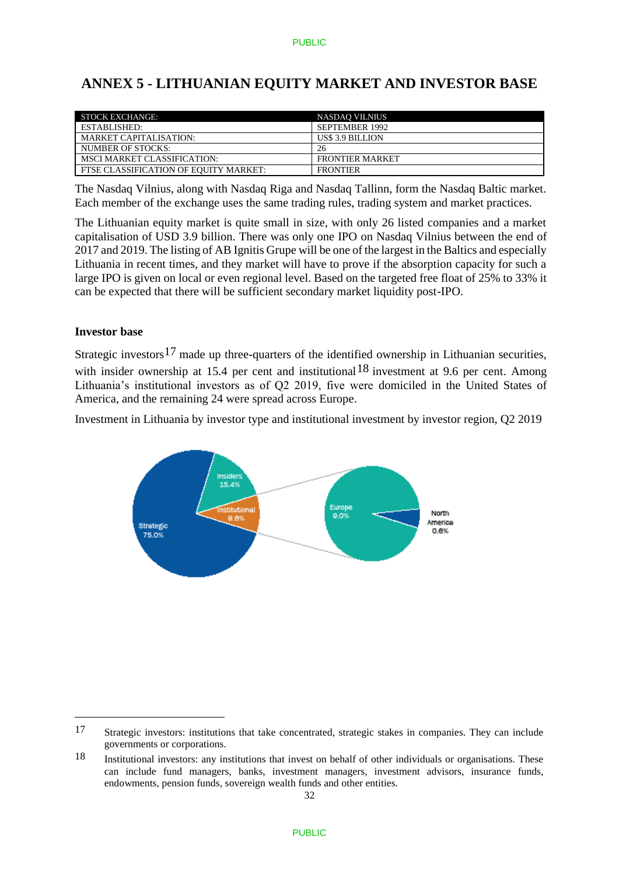# **ANNEX 5 - LITHUANIAN EQUITY MARKET AND INVESTOR BASE**

| STOCK EXCHANGE:                       | <b>NASDAO VILNIUS</b>  |
|---------------------------------------|------------------------|
| ESTABLISHED:                          | <b>SEPTEMBER 1992</b>  |
| <b>MARKET CAPITALISATION:</b>         | US\$ 3.9 BILLION       |
| NUMBER OF STOCKS:                     | 26                     |
| <b>MSCI MARKET CLASSIFICATION:</b>    | <b>FRONTIER MARKET</b> |
| FTSE CLASSIFICATION OF EOUITY MARKET: | <b>FRONTIER</b>        |

The Nasdaq Vilnius, along with Nasdaq Riga and Nasdaq Tallinn, form the Nasdaq Baltic market. Each member of the exchange uses the same trading rules, trading system and market practices.

The Lithuanian equity market is quite small in size, with only 26 listed companies and a market capitalisation of USD 3.9 billion. There was only one IPO on Nasdaq Vilnius between the end of 2017 and 2019. The listing of AB Ignitis Grupe will be one of the largest in the Baltics and especially Lithuania in recent times, and they market will have to prove if the absorption capacity for such a large IPO is given on local or even regional level. Based on the targeted free float of 25% to 33% it can be expected that there will be sufficient secondary market liquidity post-IPO.

## **Investor base**

<u>.</u>

Strategic investors<sup>17</sup> made up three-quarters of the identified ownership in Lithuanian securities, with insider ownership at 15.4 per cent and institutional  $18$  investment at 9.6 per cent. Among Lithuania's institutional investors as of Q2 2019, five were domiciled in the United States of America, and the remaining 24 were spread across Europe.

Investment in Lithuania by investor type and institutional investment by investor region, Q2 2019



<sup>17</sup> Strategic investors: institutions that take concentrated, strategic stakes in companies. They can include governments or corporations.

<sup>18</sup> Institutional investors: any institutions that invest on behalf of other individuals or organisations. These can include fund managers, banks, investment managers, investment advisors, insurance funds, endowments, pension funds, sovereign wealth funds and other entities.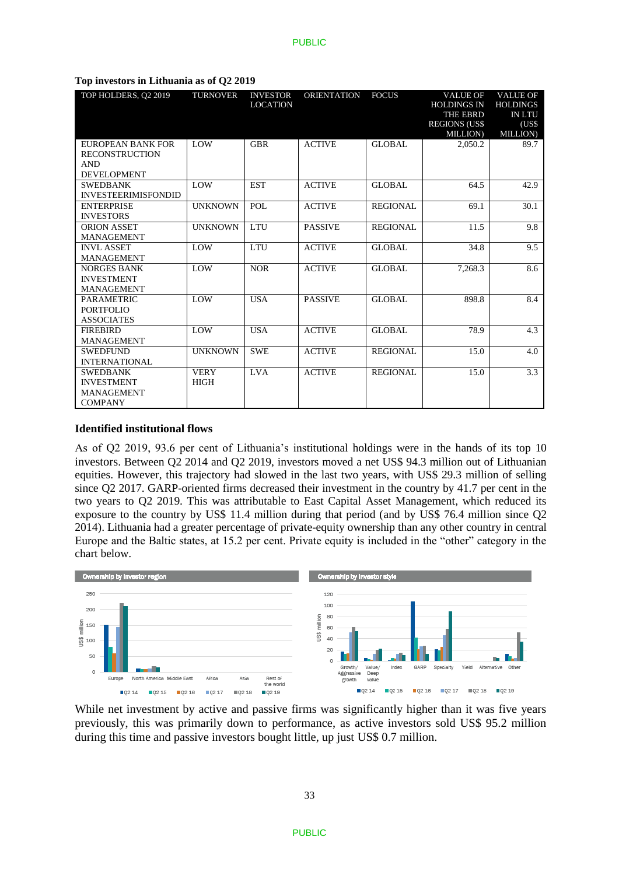| TOP HOLDERS, O2 2019                                                        | <b>TURNOVER</b>            | <b>INVESTOR</b><br><b>LOCATION</b> | <b>ORIENTATION</b> | <b>FOCUS</b>    | <b>VALUE OF</b><br><b>HOLDINGS IN</b><br><b>THE EBRD</b><br><b>REGIONS (US\$)</b><br><b>MILLION</b> | <b>VALUE OF</b><br><b>HOLDINGS</b><br><b>IN LTU</b><br>(US\$<br><b>MILLION</b> ) |
|-----------------------------------------------------------------------------|----------------------------|------------------------------------|--------------------|-----------------|-----------------------------------------------------------------------------------------------------|----------------------------------------------------------------------------------|
| EUROPEAN BANK FOR<br><b>RECONSTRUCTION</b><br>AND<br><b>DEVELOPMENT</b>     | <b>LOW</b>                 | <b>GBR</b>                         | <b>ACTIVE</b>      | <b>GLOBAL</b>   | 2.050.2                                                                                             | 89.7                                                                             |
| <b>SWEDBANK</b><br><b>INVESTEERIMISFONDID</b>                               | LOW                        | <b>EST</b>                         | <b>ACTIVE</b>      | <b>GLOBAL</b>   | 64.5                                                                                                | 42.9                                                                             |
| <b>ENTERPRISE</b><br><b>INVESTORS</b>                                       | <b>UNKNOWN</b>             | POL                                | <b>ACTIVE</b>      | <b>REGIONAL</b> | 69.1                                                                                                | 30.1                                                                             |
| <b>ORION ASSET</b><br><b>MANAGEMENT</b>                                     | <b>UNKNOWN</b>             | <b>LTU</b>                         | <b>PASSIVE</b>     | <b>REGIONAL</b> | 11.5                                                                                                | 9.8                                                                              |
| <b>INVL ASSET</b><br><b>MANAGEMENT</b>                                      | <b>LOW</b>                 | LTU                                | <b>ACTIVE</b>      | <b>GLOBAL</b>   | 34.8                                                                                                | 9.5                                                                              |
| <b>NORGES BANK</b><br><b>INVESTMENT</b><br><b>MANAGEMENT</b>                | LOW                        | <b>NOR</b>                         | <b>ACTIVE</b>      | <b>GLOBAL</b>   | 7,268.3                                                                                             | 8.6                                                                              |
| <b>PARAMETRIC</b><br><b>PORTFOLIO</b><br><b>ASSOCIATES</b>                  | LOW                        | <b>USA</b>                         | <b>PASSIVE</b>     | <b>GLOBAL</b>   | 898.8                                                                                               | 8.4                                                                              |
| <b>FIREBIRD</b><br><b>MANAGEMENT</b>                                        | <b>LOW</b>                 | <b>USA</b>                         | <b>ACTIVE</b>      | GLOBAL          | 78.9                                                                                                | 4.3                                                                              |
| <b>SWEDFUND</b><br><b>INTERNATIONAL</b>                                     | <b>UNKNOWN</b>             | <b>SWE</b>                         | <b>ACTIVE</b>      | <b>REGIONAL</b> | 15.0                                                                                                | 4.0                                                                              |
| <b>SWEDBANK</b><br><b>INVESTMENT</b><br><b>MANAGEMENT</b><br><b>COMPANY</b> | <b>VERY</b><br><b>HIGH</b> | <b>LVA</b>                         | <b>ACTIVE</b>      | REGIONAL        | 15.0                                                                                                | 3.3                                                                              |

#### **Top investors in Lithuania as of Q2 2019**

#### **Identified institutional flows**

As of Q2 2019, 93.6 per cent of Lithuania's institutional holdings were in the hands of its top 10 investors. Between Q2 2014 and Q2 2019, investors moved a net US\$ 94.3 million out of Lithuanian equities. However, this trajectory had slowed in the last two years, with US\$ 29.3 million of selling since Q2 2017. GARP-oriented firms decreased their investment in the country by 41.7 per cent in the two years to Q2 2019. This was attributable to East Capital Asset Management, which reduced its exposure to the country by US\$ 11.4 million during that period (and by US\$ 76.4 million since Q2 2014). Lithuania had a greater percentage of private-equity ownership than any other country in central Europe and the Baltic states, at 15.2 per cent. Private equity is included in the "other" category in the chart below.



While net investment by active and passive firms was significantly higher than it was five years previously, this was primarily down to performance, as active investors sold US\$ 95.2 million during this time and passive investors bought little, up just US\$ 0.7 million.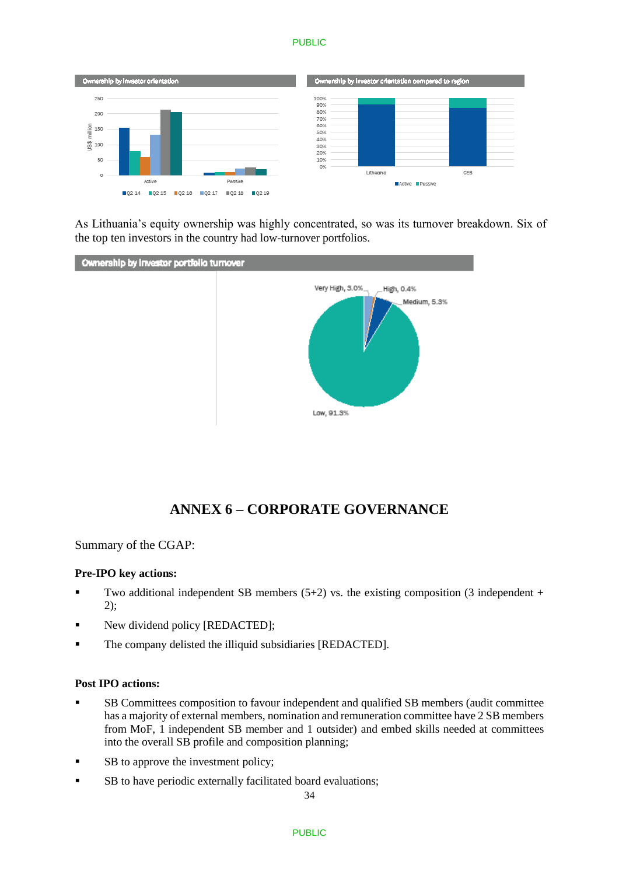#### **PUBLIC**



As Lithuania's equity ownership was highly concentrated, so was its turnover breakdown. Six of the top ten investors in the country had low-turnover portfolios.



# **ANNEX 6 – CORPORATE GOVERNANCE**

Summary of the CGAP:

### **Pre-IPO key actions:**

- Two additional independent SB members  $(5+2)$  vs. the existing composition (3 independent + 2);
- New dividend policy [REDACTED];
- The company delisted the illiquid subsidiaries [REDACTED].

#### **Post IPO actions:**

- SB Committees composition to favour independent and qualified SB members (audit committee has a majority of external members, nomination and remuneration committee have 2 SB members from MoF, 1 independent SB member and 1 outsider) and embed skills needed at committees into the overall SB profile and composition planning;
- SB to approve the investment policy;
- **SB** to have periodic externally facilitated board evaluations;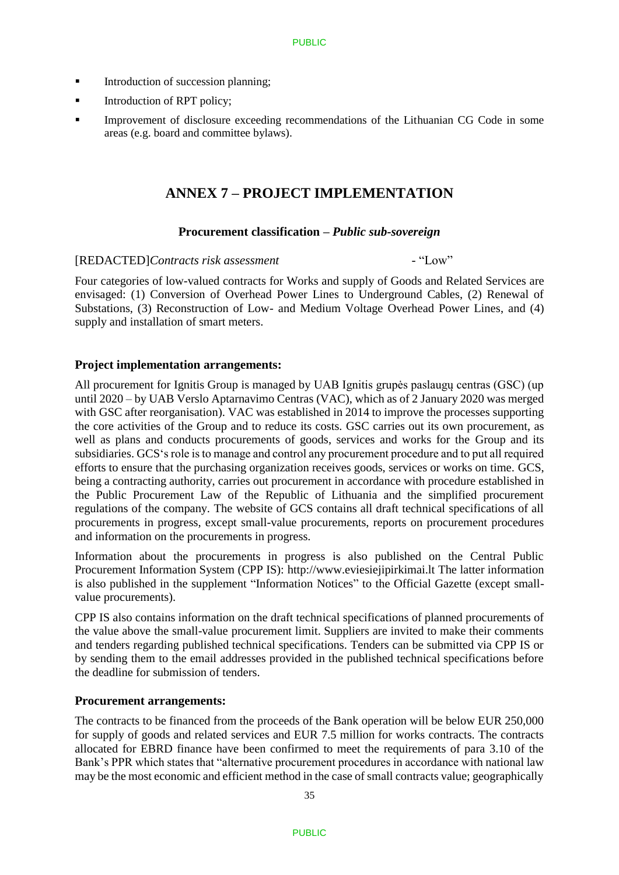- Introduction of succession planning;
- **Introduction of RPT policy;**
- Improvement of disclosure exceeding recommendations of the Lithuanian CG Code in some areas (e.g. board and committee bylaws).

# **ANNEX 7 – PROJECT IMPLEMENTATION**

### **Procurement classification –** *Public sub-sovereign*

### [REDACTED]*Contracts risk assessment* - "Low"

Four categories of low-valued contracts for Works and supply of Goods and Related Services are envisaged: (1) Conversion of Overhead Power Lines to Underground Cables, (2) Renewal of Substations, (3) Reconstruction of Low- and Medium Voltage Overhead Power Lines, and (4) supply and installation of smart meters.

### **Project implementation arrangements:**

All procurement for Ignitis Group is managed by UAB Ignitis grupės paslaugų centras (GSC) (up until 2020 – by UAB Verslo Aptarnavimo Centras (VAC), which as of 2 January 2020 was merged with GSC after reorganisation). VAC was established in 2014 to improve the processes supporting the core activities of the Group and to reduce its costs. GSC carries out its own procurement, as well as plans and conducts procurements of goods, services and works for the Group and its subsidiaries. GCS's role is to manage and control any procurement procedure and to put all required efforts to ensure that the purchasing organization receives goods, services or works on time. GCS, being a contracting authority, carries out procurement in accordance with procedure established in the Public Procurement Law of the Republic of Lithuania and the simplified procurement regulations of the company. The website of GCS contains all draft technical specifications of all procurements in progress, except small-value procurements, reports on procurement procedures and information on the procurements in progress.

Information about the procurements in progress is also published on the Central Public Procurement Information System (CPP IS): [http://www.eviesiejipirkimai.lt](http://www.eviesiejipirkimai.lt/) The latter information is also published in the supplement "Information Notices" to the Official Gazette (except smallvalue procurements).

CPP IS also contains information on the draft technical specifications of planned procurements of the value above the small-value procurement limit. Suppliers are invited to make their comments and tenders regarding published technical specifications. Tenders can be submitted via CPP IS or by sending them to the email addresses provided in the published technical specifications before the deadline for submission of tenders.

## **Procurement arrangements:**

The contracts to be financed from the proceeds of the Bank operation will be below EUR 250,000 for supply of goods and related services and EUR 7.5 million for works contracts. The contracts allocated for EBRD finance have been confirmed to meet the requirements of para 3.10 of the Bank's PPR which states that "alternative procurement procedures in accordance with national law may be the most economic and efficient method in the case of small contracts value; geographically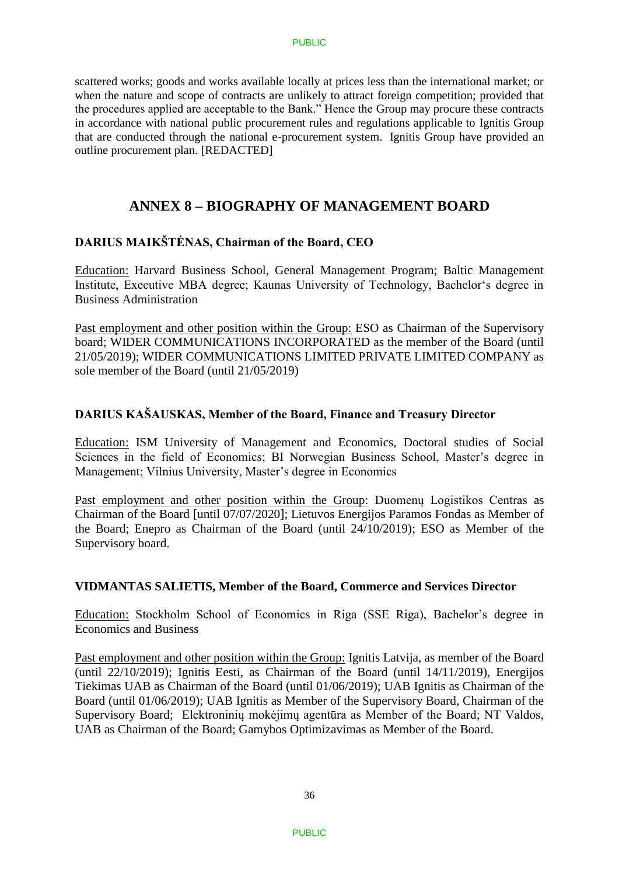scattered works; goods and works available locally at prices less than the international market; or when the nature and scope of contracts are unlikely to attract foreign competition; provided that the procedures applied are acceptable to the Bank." Hence the Group may procure these contracts in accordance with national public procurement rules and regulations applicable to Ignitis Group that are conducted through the national e-procurement system. Ignitis Group have provided an outline procurement plan. [REDACTED]

# **ANNEX 8 – BIOGRAPHY OF MANAGEMENT BOARD**

# **DARIUS MAIKŠTĖNAS, Chairman of the Board, CEO**

Education: Harvard Business School, General Management Program; Baltic Management Institute, Executive MBA degree; Kaunas University of Technology, Bachelor's degree in Business Administration

Past employment and other position within the Group: ESO as Chairman of the Supervisory board; WIDER COMMUNICATIONS INCORPORATED as the member of the Board (until 21/05/2019); WIDER COMMUNICATIONS LIMITED PRIVATE LIMITED COMPANY as sole member of the Board (until 21/05/2019)

# **DARIUS KAŠAUSKAS, Member of the Board, Finance and Treasury Director**

Education: ISM University of Management and Economics, Doctoral studies of Social Sciences in the field of Economics; BI Norwegian Business School, Master's degree in Management; Vilnius University, Master's degree in Economics

Past employment and other position within the Group: Duomenų Logistikos Centras as Chairman of the Board [until 07/07/2020]; Lietuvos Energijos Paramos Fondas as Member of the Board; Enepro as Chairman of the Board (until 24/10/2019); ESO as Member of the Supervisory board.

## **VIDMANTAS SALIETIS, Member of the Board, Commerce and Services Director**

Education: Stockholm School of Economics in Riga (SSE Riga), Bachelor's degree in Economics and Business

Past employment and other position within the Group: Ignitis Latvija, as member of the Board (until 22/10/2019); Ignitis Eesti, as Chairman of the Board (until 14/11/2019), Energijos Tiekimas UAB as Chairman of the Board (until 01/06/2019); UAB Ignitis as Chairman of the Board (until 01/06/2019); UAB Ignitis as Member of the Supervisory Board, Chairman of the Supervisory Board; Elektroninių mokėjimų agentūra as Member of the Board; NT Valdos, UAB as Chairman of the Board; Gamybos Optimizavimas as Member of the Board.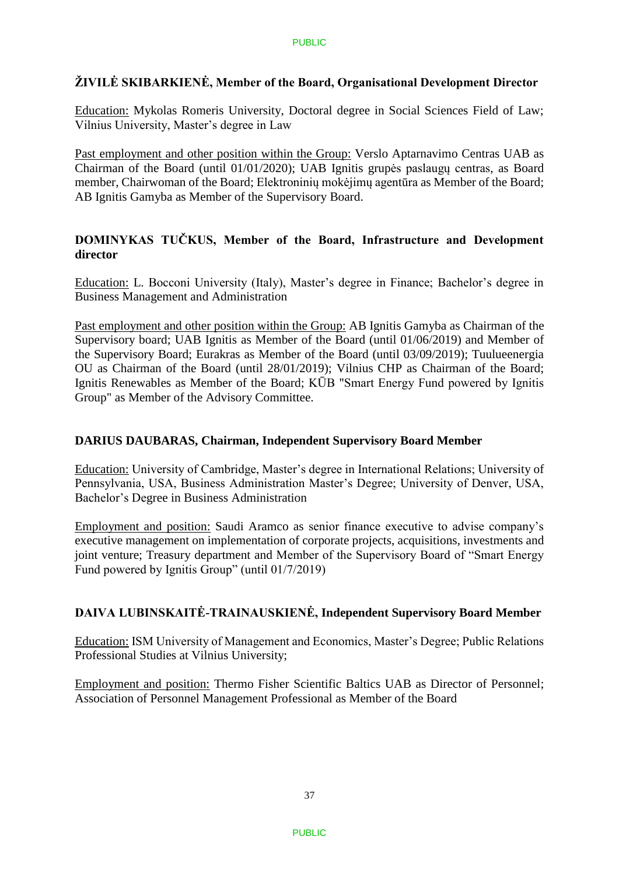# **ŽIVILĖ SKIBARKIENĖ, Member of the Board, Organisational Development Director**

Education: Mykolas Romeris University, Doctoral degree in Social Sciences Field of Law; Vilnius University, Master's degree in Law

Past employment and other position within the Group: Verslo Aptarnavimo Centras UAB as Chairman of the Board (until 01/01/2020); UAB Ignitis grupės paslaugų centras, as Board member, Chairwoman of the Board; Elektroninių mokėjimų agentūra as Member of the Board; AB Ignitis Gamyba as Member of the Supervisory Board.

# **DOMINYKAS TUČKUS, Member of the Board, Infrastructure and Development director**

Education: L. Bocconi University (Italy), Master's degree in Finance; Bachelor's degree in Business Management and Administration

Past employment and other position within the Group: AB Ignitis Gamyba as Chairman of the Supervisory board; UAB Ignitis as Member of the Board (until 01/06/2019) and Member of the Supervisory Board; Eurakras as Member of the Board (until 03/09/2019); Tuulueenergia OU as Chairman of the Board (until 28/01/2019); Vilnius CHP as Chairman of the Board; Ignitis Renewables as Member of the Board; KŪB "Smart Energy Fund powered by Ignitis Group" as Member of the Advisory Committee.

# **DARIUS DAUBARAS, Chairman, Independent Supervisory Board Member**

Education: University of Cambridge, Master's degree in International Relations; University of Pennsylvania, USA, Business Administration Master's Degree; University of Denver, USA, Bachelor's Degree in Business Administration

Employment and position: Saudi Aramco as senior finance executive to advise company's executive management on implementation of corporate projects, acquisitions, investments and joint venture; Treasury department and Member of the Supervisory Board of "Smart Energy Fund powered by Ignitis Group" (until 01/7/2019)

# **DAIVA LUBINSKAITĖ-TRAINAUSKIENĖ, Independent Supervisory Board Member**

Education: ISM University of Management and Economics, Master's Degree; Public Relations Professional Studies at Vilnius University;

Employment and position: Thermo Fisher Scientific Baltics UAB as Director of Personnel; Association of Personnel Management Professional as Member of the Board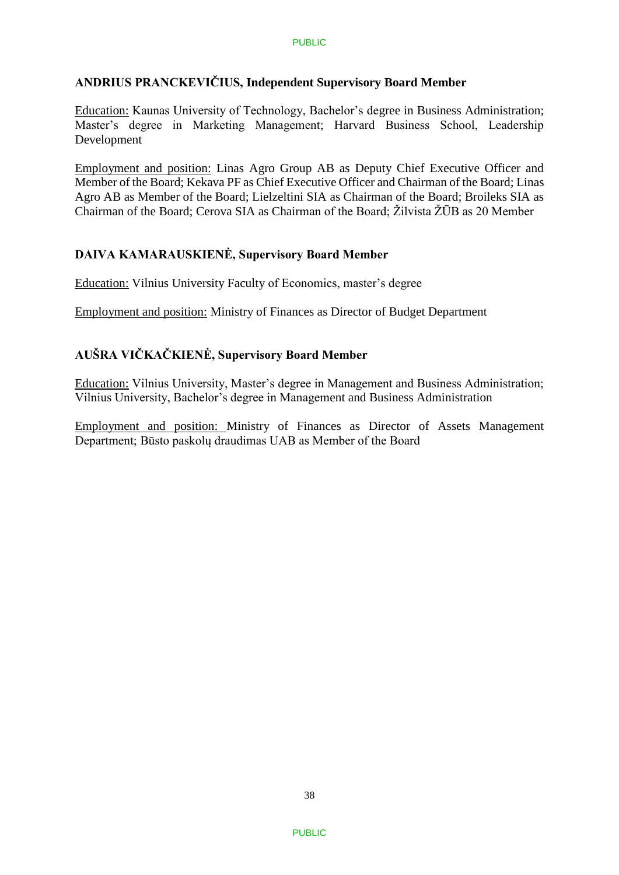# **ANDRIUS PRANCKEVIČIUS, Independent Supervisory Board Member**

Education: Kaunas University of Technology, Bachelor's degree in Business Administration; Master's degree in Marketing Management; Harvard Business School, Leadership Development

Employment and position: Linas Agro Group AB as Deputy Chief Executive Officer and Member of the Board; Kekava PF as Chief Executive Officer and Chairman of the Board; Linas Agro AB as Member of the Board; Lielzeltini SIA as Chairman of the Board; Broileks SIA as Chairman of the Board; Cerova SIA as Chairman of the Board; Žilvista ŽŪB as 20 Member

# **DAIVA KAMARAUSKIENĖ, Supervisory Board Member**

Education: Vilnius University Faculty of Economics, master's degree

Employment and position: Ministry of Finances as Director of Budget Department

# **AUŠRA VIČKAČKIENĖ, Supervisory Board Member**

Education: Vilnius University, Master's degree in Management and Business Administration; Vilnius University, Bachelor's degree in Management and Business Administration

Employment and position: Ministry of Finances as Director of Assets Management Department; Būsto paskolų draudimas UAB as Member of the Board